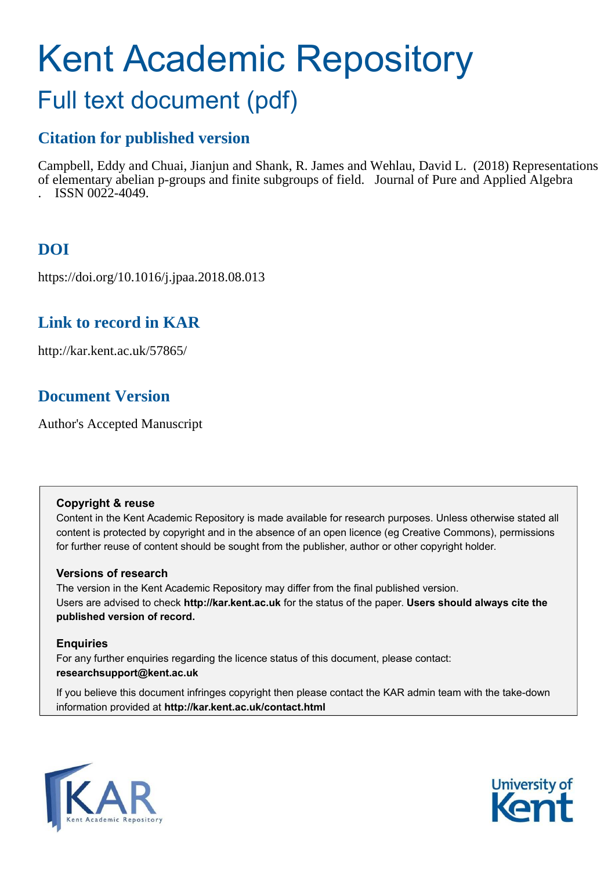# Kent Academic Repository

## Full text document (pdf)

## **Citation for published version**

Campbell, Eddy and Chuai, Jianjun and Shank, R. James and Wehlau, David L. (2018) Representations of elementary abelian p-groups and finite subgroups of field. Journal of Pure and Applied Algebra . ISSN 0022-4049.

## **DOI**

https://doi.org/10.1016/j.jpaa.2018.08.013

## **Link to record in KAR**

http://kar.kent.ac.uk/57865/

## **Document Version**

Author's Accepted Manuscript

#### **Copyright & reuse**

Content in the Kent Academic Repository is made available for research purposes. Unless otherwise stated all content is protected by copyright and in the absence of an open licence (eg Creative Commons), permissions for further reuse of content should be sought from the publisher, author or other copyright holder.

#### **Versions of research**

The version in the Kent Academic Repository may differ from the final published version. Users are advised to check **http://kar.kent.ac.uk** for the status of the paper. **Users should always cite the published version of record.**

#### **Enquiries**

For any further enquiries regarding the licence status of this document, please contact: **researchsupport@kent.ac.uk**

If you believe this document infringes copyright then please contact the KAR admin team with the take-down information provided at **http://kar.kent.ac.uk/contact.html**



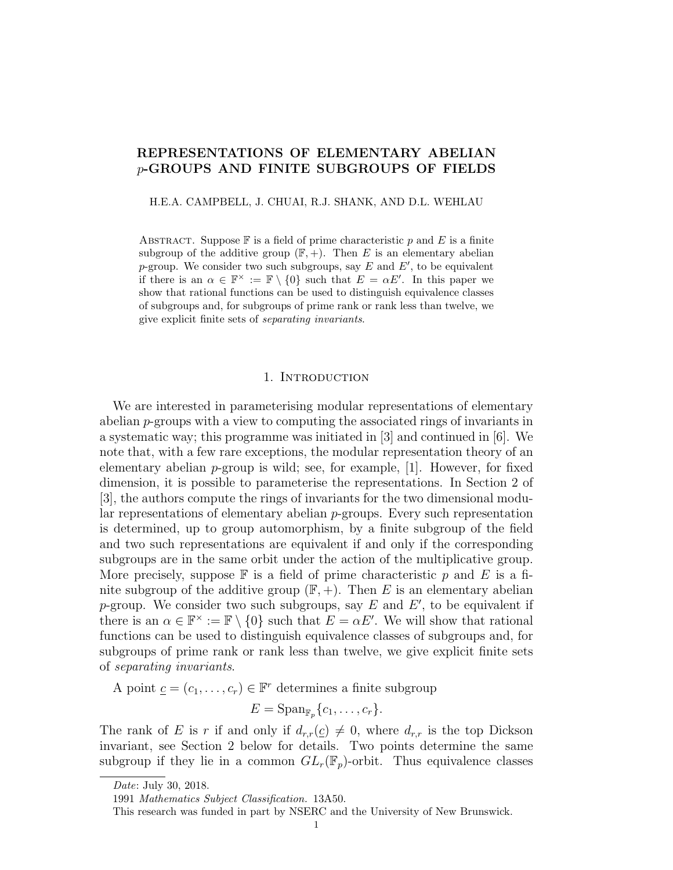#### REPRESENTATIONS OF ELEMENTARY ABELIAN p-GROUPS AND FINITE SUBGROUPS OF FIELDS

H.E.A. CAMPBELL, J. CHUAI, R.J. SHANK, AND D.L. WEHLAU

ABSTRACT. Suppose  $\mathbb F$  is a field of prime characteristic p and E is a finite subgroup of the additive group  $(\mathbb{F}, +)$ . Then E is an elementary abelian p-group. We consider two such subgroups, say  $E$  and  $E'$ , to be equivalent if there is an  $\alpha \in \mathbb{F}^\times := \mathbb{F} \setminus \{0\}$  such that  $E = \alpha E'$ . In this paper we show that rational functions can be used to distinguish equivalence classes of subgroups and, for subgroups of prime rank or rank less than twelve, we give explicit finite sets of *separating invariants*.

#### 1. Introduction

We are interested in parameterising modular representations of elementary abelian p-groups with a view to computing the associated rings of invariants in a systematic way; this programme was initiated in [3] and continued in [6]. We note that, with a few rare exceptions, the modular representation theory of an elementary abelian  $p$ -group is wild; see, for example, [1]. However, for fixed dimension, it is possible to parameterise the representations. In Section 2 of [3], the authors compute the rings of invariants for the two dimensional modular representations of elementary abelian p-groups. Every such representation is determined, up to group automorphism, by a finite subgroup of the field and two such representations are equivalent if and only if the corresponding subgroups are in the same orbit under the action of the multiplicative group. More precisely, suppose  $\mathbb F$  is a field of prime characteristic p and E is a finite subgroup of the additive group  $(\mathbb{F}, +)$ . Then E is an elementary abelian p-group. We consider two such subgroups, say  $E$  and  $E'$ , to be equivalent if there is an  $\alpha \in \mathbb{F}^\times := \mathbb{F} \setminus \{0\}$  such that  $E = \alpha E'$ . We will show that rational functions can be used to distinguish equivalence classes of subgroups and, for subgroups of prime rank or rank less than twelve, we give explicit finite sets of separating invariants.

A point  $\underline{c} = (c_1, \ldots, c_r) \in \mathbb{F}^r$  determines a finite subgroup

 $E = \mathrm{Span}_{\mathbb{F}_p} \{c_1, \ldots, c_r\}.$ 

The rank of E is r if and only if  $d_{r,r}(\underline{c}) \neq 0$ , where  $d_{r,r}$  is the top Dickson invariant, see Section 2 below for details. Two points determine the same subgroup if they lie in a common  $GL_r(\mathbb{F}_p)$ -orbit. Thus equivalence classes

*Date*: July 30, 2018.

<sup>1991</sup> *Mathematics Subject Classification.* 13A50.

This research was funded in part by NSERC and the University of New Brunswick.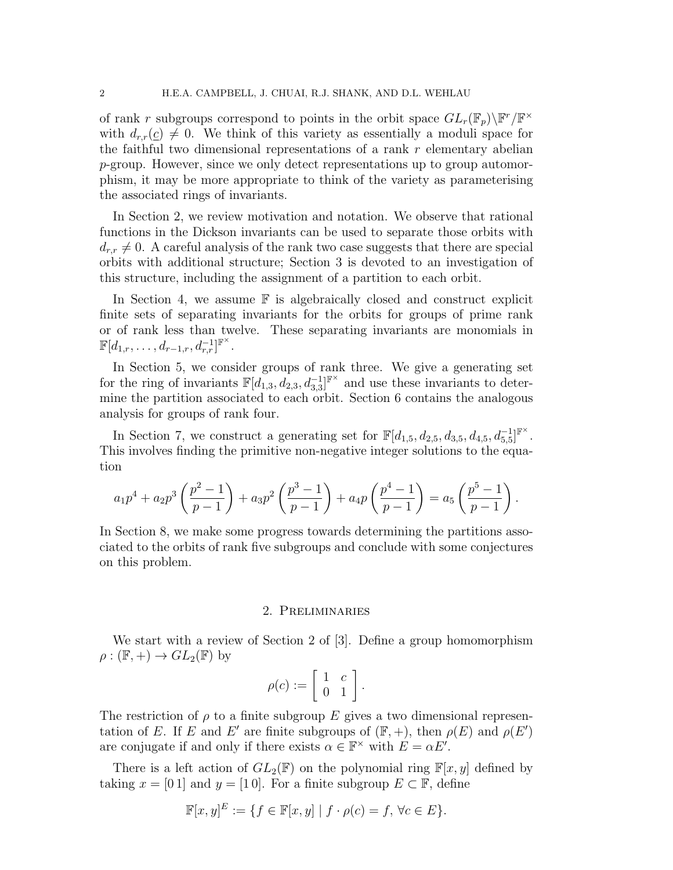of rank r subgroups correspond to points in the orbit space  $GL_r(\mathbb{F}_p)\backslash \mathbb{F}^r/\mathbb{F}^\times$ with  $d_{rr}(c) \neq 0$ . We think of this variety as essentially a moduli space for the faithful two dimensional representations of a rank  $r$  elementary abelian p-group. However, since we only detect representations up to group automorphism, it may be more appropriate to think of the variety as parameterising the associated rings of invariants.

In Section 2, we review motivation and notation. We observe that rational functions in the Dickson invariants can be used to separate those orbits with  $d_{r,r} \neq 0$ . A careful analysis of the rank two case suggests that there are special orbits with additional structure; Section 3 is devoted to an investigation of this structure, including the assignment of a partition to each orbit.

In Section 4, we assume  $\mathbb F$  is algebraically closed and construct explicit finite sets of separating invariants for the orbits for groups of prime rank or of rank less than twelve. These separating invariants are monomials in  $\mathbb{F}[d_{1,r},\ldots,d_{r-1,r},d_{r,r}^{-1}]^{\mathbb{F}^{\times}}$ .

In Section 5, we consider groups of rank three. We give a generating set for the ring of invariants  $\mathbb{F}[d_{1,3}, d_{2,3}, d_{3,3}]^{\mathbb{F}^{\times}}$  and use these invariants to determine the partition associated to each orbit. Section 6 contains the analogous analysis for groups of rank four.

In Section 7, we construct a generating set for  $\mathbb{F}[d_{1,5}, d_{2,5}, d_{3,5}, d_{4,5}, d_{5,5}]^{\mathbb{F}^{\times}}$ . This involves finding the primitive non-negative integer solutions to the equation

$$
a_1p^4 + a_2p^3\left(\frac{p^2-1}{p-1}\right) + a_3p^2\left(\frac{p^3-1}{p-1}\right) + a_4p\left(\frac{p^4-1}{p-1}\right) = a_5\left(\frac{p^5-1}{p-1}\right).
$$

In Section 8, we make some progress towards determining the partitions associated to the orbits of rank five subgroups and conclude with some conjectures on this problem.

#### 2. Preliminaries

We start with a review of Section 2 of [3]. Define a group homomorphism  $\rho : (\mathbb{F}, +) \to GL_2(\mathbb{F})$  by

$$
\rho(c) := \left[ \begin{array}{cc} 1 & c \\ 0 & 1 \end{array} \right].
$$

The restriction of  $\rho$  to a finite subgroup E gives a two dimensional representation of E. If E and E' are finite subgroups of  $(\mathbb{F}, +)$ , then  $\rho(E)$  and  $\rho(E')$ are conjugate if and only if there exists  $\alpha \in \mathbb{F}^{\times}$  with  $E = \alpha E'$ .

There is a left action of  $GL_2(\mathbb{F})$  on the polynomial ring  $\mathbb{F}[x, y]$  defined by taking  $x = [0 1]$  and  $y = [1 0]$ . For a finite subgroup  $E \subset \mathbb{F}$ , define

$$
\mathbb F[x,y]^E:=\{f\in\mathbb F[x,y]\mid f\cdot \rho(c)=f,\,\forall c\in E\}.
$$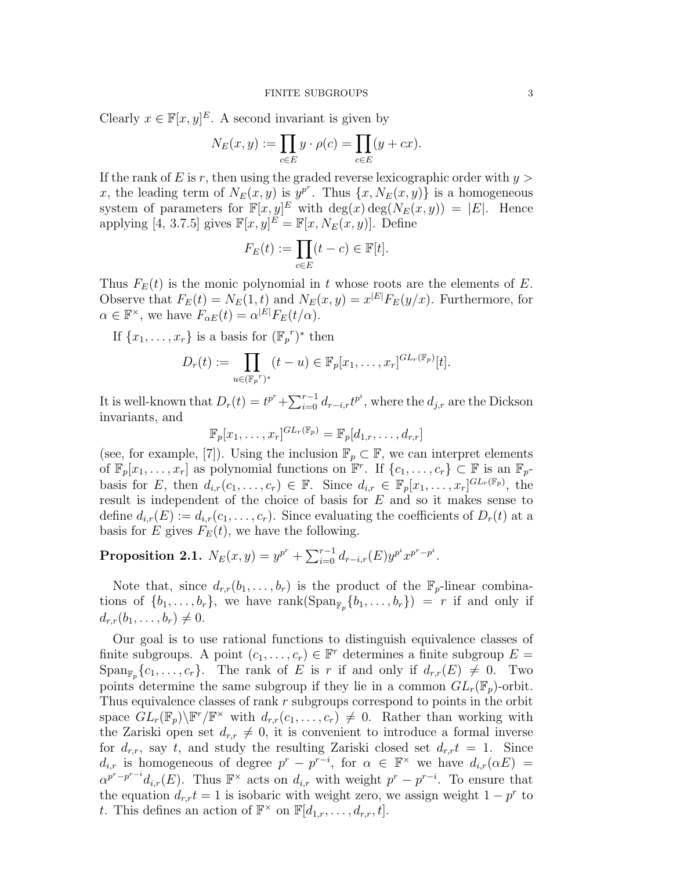Clearly  $x \in \mathbb{F}[x, y]^E$ . A second invariant is given by

$$
N_E(x, y) := \prod_{c \in E} y \cdot \rho(c) = \prod_{c \in E} (y + cx).
$$

If the rank of E is r, then using the graded reverse lexicographic order with  $y >$ x, the leading term of  $N_E(x, y)$  is  $y^{p^r}$ . Thus  $\{x, N_E(x, y)\}\$ is a homogeneous system of parameters for  $\mathbb{F}[x,y]^E$  with  $\deg(x) \deg(N_E(x,y)) = |E|$ . Hence applying [4, 3.7.5] gives  $\mathbb{F}[x,y]^{\tilde{E}} = \mathbb{F}[x,N_E(x,y)]$ . Define

$$
F_E(t) := \prod_{c \in E} (t - c) \in \mathbb{F}[t].
$$

Thus  $F_E(t)$  is the monic polynomial in t whose roots are the elements of E. Observe that  $F_E(t) = N_E(1, t)$  and  $N_E(x, y) = x^{|E|} F_E(y/x)$ . Furthermore, for  $\alpha \in \mathbb{F}^{\times}$ , we have  $F_{\alpha E}(t) = \alpha^{|E|} F_E(t/\alpha)$ .

If  $\{x_1, \ldots, x_r\}$  is a basis for  $(\mathbb{F}_p^r)^*$  then

$$
D_r(t) := \prod_{u \in (\mathbb{F}_p^r)^*} (t - u) \in \mathbb{F}_p[x_1, \dots, x_r]^{GL_r(\mathbb{F}_p)}[t].
$$

It is well-known that  $D_r(t) = t^{p^r} + \sum_{i=0}^{r-1} d_{r-i,r} t^{p^i}$ , where the  $d_{j,r}$  are the Dickson invariants, and

$$
\mathbb{F}_p[x_1,\ldots,x_r]^{GL_r(\mathbb{F}_p)} = \mathbb{F}_p[d_{1,r},\ldots,d_{r,r}]
$$

(see, for example, [7]). Using the inclusion  $\mathbb{F}_p \subset \mathbb{F}$ , we can interpret elements of  $\mathbb{F}_p[x_1,\ldots,x_r]$  as polynomial functions on  $\mathbb{F}^r$ . If  $\{c_1,\ldots,c_r\} \subset \mathbb{F}$  is an  $\mathbb{F}_p$ basis for E, then  $d_{i,r}(c_1,\ldots,c_r) \in \mathbb{F}$ . Since  $d_{i,r} \in \mathbb{F}_p[x_1,\ldots,x_r]^{GL_r(\mathbb{F}_p)}$ , the result is independent of the choice of basis for E and so it makes sense to define  $d_{i,r}(E) := d_{i,r}(c_1,\ldots,c_r)$ . Since evaluating the coefficients of  $D_r(t)$  at a basis for E gives  $F_E(t)$ , we have the following.

Proposition 2.1.  $N_E(x, y) = y^{p^r} + \sum_{i=0}^{r-1} d_{r-i,r}(E) y^{p^i} x^{p^r - p^i}$ .

Note that, since  $d_{r,r}(b_1,\ldots,b_r)$  is the product of the  $\mathbb{F}_p$ -linear combinations of  $\{b_1, \ldots, b_r\}$ , we have  $\text{rank}(\text{Span}_{\mathbb{F}_p}\{b_1, \ldots, b_r\}) = r$  if and only if  $d_{r,r}(b_1, \ldots, b_r) \neq 0.$ 

Our goal is to use rational functions to distinguish equivalence classes of finite subgroups. A point  $(c_1, \ldots, c_r) \in \mathbb{F}^r$  determines a finite subgroup  $E =$  $\operatorname{Span}_{\mathbb{F}_p}\{c_1,\ldots,c_r\}$ . The rank of E is r if and only if  $d_{r,r}(E) \neq 0$ . Two points determine the same subgroup if they lie in a common  $GL_r(\mathbb{F}_p)$ -orbit. Thus equivalence classes of rank r subgroups correspond to points in the orbit space  $GL_r(\mathbb{F}_p)\backslash \mathbb{F}^r/\mathbb{F}^\times$  with  $d_{r,r}(c_1,\ldots,c_r)\neq 0$ . Rather than working with the Zariski open set  $d_{r,r} \neq 0$ , it is convenient to introduce a formal inverse for  $d_{r,r}$ , say t, and study the resulting Zariski closed set  $d_{r,r}t = 1$ . Since  $d_{i,r}$  is homogeneous of degree  $p^r - p^{r-i}$ , for  $\alpha \in \mathbb{F}^\times$  we have  $d_{i,r}(\alpha E) =$  $\alpha^{p^r-p^{r-i}}d_{i,r}(E)$ . Thus  $\mathbb{F}^\times$  acts on  $d_{i,r}$  with weight  $p^r-p^{r-i}$ . To ensure that the equation  $d_{r,r}t = 1$  is isobaric with weight zero, we assign weight  $1 - p^r$  to t. This defines an action of  $\mathbb{F}^\times$  on  $\mathbb{F}[d_{1,r},\ldots,d_{r,r},t]$ .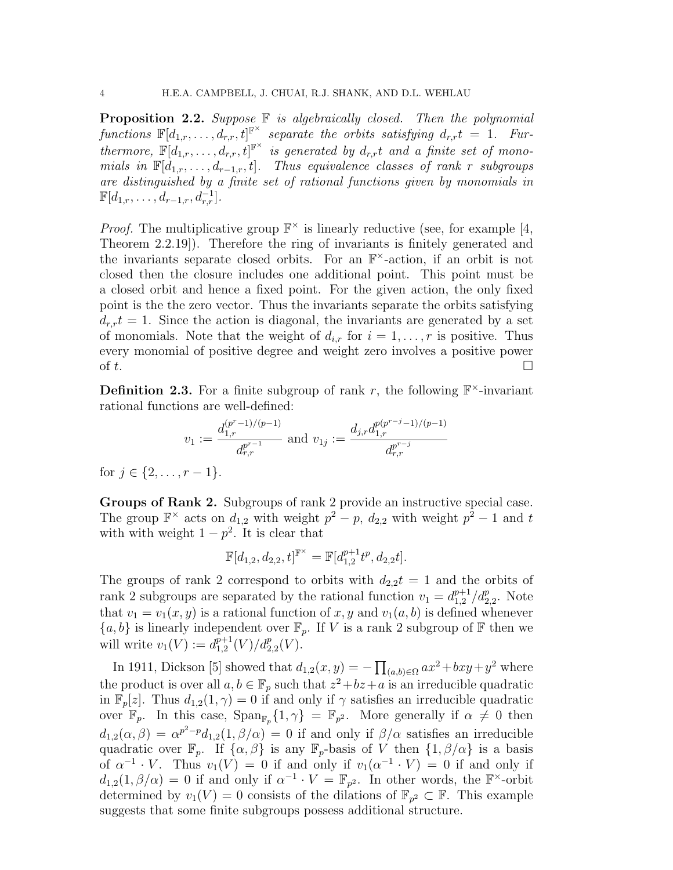**Proposition 2.2.** Suppose  $\mathbb F$  is algebraically closed. Then the polynomial functions  $\mathbb{F}[d_{1,r},\ldots,d_{r,r},t]^{\mathbb{F}^{\times}}$  separate the orbits satisfying  $d_{r,r}t = 1$ . Furthermore,  $\mathbb{F}[d_{1,r},\ldots,d_{r,r},t]^{\mathbb{F}^{\times}}$  is generated by  $d_{r,r}t$  and a finite set of monomials in  $\mathbb{F}[d_{1,r}, \ldots, d_{r-1,r}, t]$ . Thus equivalence classes of rank r subgroups are distinguished by a finite set of rational functions given by monomials in  $\mathbb{F}[d_{1,r},\ldots,d_{r-1,r},d_{r,r}^{-1}].$ 

*Proof.* The multiplicative group  $\mathbb{F}^{\times}$  is linearly reductive (see, for example [4, Theorem 2.2.19]). Therefore the ring of invariants is finitely generated and the invariants separate closed orbits. For an  $\mathbb{F}^{\times}$ -action, if an orbit is not closed then the closure includes one additional point. This point must be a closed orbit and hence a fixed point. For the given action, the only fixed point is the the zero vector. Thus the invariants separate the orbits satisfying  $d_{r,r}t = 1$ . Since the action is diagonal, the invariants are generated by a set of monomials. Note that the weight of  $d_{i,r}$  for  $i = 1, \ldots, r$  is positive. Thus every monomial of positive degree and weight zero involves a positive power of  $t$ .

**Definition 2.3.** For a finite subgroup of rank r, the following  $\mathbb{F}^{\times}$ -invariant rational functions are well-defined:

$$
v_1 := \frac{d_{1,r}^{(p^r-1)/(p-1)}}{d_{r,r}^{p^{r-1}}} \text{ and } v_{1j} := \frac{d_{j,r}d_{1,r}^{p(p^{r-j}-1)/(p-1)}}{d_{r,r}^{p^{r-j}}}
$$

for  $j \in \{2, \ldots, r-1\}.$ 

Groups of Rank 2. Subgroups of rank 2 provide an instructive special case. The group  $\mathbb{F}^\times$  acts on  $d_{1,2}$  with weight  $p^2 - p$ ,  $d_{2,2}$  with weight  $p^2 - 1$  and t with with weight  $1 - p^2$ . It is clear that

$$
\mathbb{F}[d_{1,2}, d_{2,2}, t]^{\mathbb{F}^{\times}} = \mathbb{F}[d_{1,2}^{p+1}t^p, d_{2,2}t].
$$

The groups of rank 2 correspond to orbits with  $d_{2,2}t = 1$  and the orbits of rank 2 subgroups are separated by the rational function  $v_1 = d_{1,2}^{p+1}$  $_{1,2}^{p+1}/d_{2,2}^p$ . Note that  $v_1 = v_1(x, y)$  is a rational function of x, y and  $v_1(a, b)$  is defined whenever  ${a, b}$  is linearly independent over  $\mathbb{F}_p$ . If V is a rank 2 subgroup of  $\mathbb F$  then we will write  $v_1(V) := d_{1,2}^{p+1}$  $_{1,2}^{p+1}(V)/d_{2,2}^p(V).$ 

In 1911, Dickson [5] showed that  $d_{1,2}(x,y) = -\prod_{(a,b)\in\Omega} ax^2 + bxy + y^2$  where the product is over all  $a, b \in \mathbb{F}_p$  such that  $z^2 + bz + a$  is an irreducible quadratic in  $\mathbb{F}_p[z]$ . Thus  $d_{1,2}(1,\gamma) = 0$  if and only if  $\gamma$  satisfies an irreducible quadratic over  $\mathbb{F}_p$ . In this case,  $\text{Span}_{\mathbb{F}_p}\{1,\gamma\} = \mathbb{F}_{p^2}$ . More generally if  $\alpha \neq 0$  then  $d_{1,2}(\alpha,\beta) = \alpha^{p^2-p}d_{1,2}(1,\beta/\alpha) = 0$  if and only if  $\beta/\alpha$  satisfies an irreducible quadratic over  $\mathbb{F}_p$ . If  $\{\alpha, \beta\}$  is any  $\mathbb{F}_p$ -basis of V then  $\{1, \beta/\alpha\}$  is a basis of  $\alpha^{-1} \cdot V$ . Thus  $v_1(V) = 0$  if and only if  $v_1(\alpha^{-1} \cdot V) = 0$  if and only if  $d_{1,2}(1,\beta/\alpha) = 0$  if and only if  $\alpha^{-1} \cdot V = \mathbb{F}_{p^2}$ . In other words, the  $\mathbb{F}^{\times}$ -orbit determined by  $v_1(V) = 0$  consists of the dilations of  $\mathbb{F}_{p^2} \subset \mathbb{F}$ . This example suggests that some finite subgroups possess additional structure.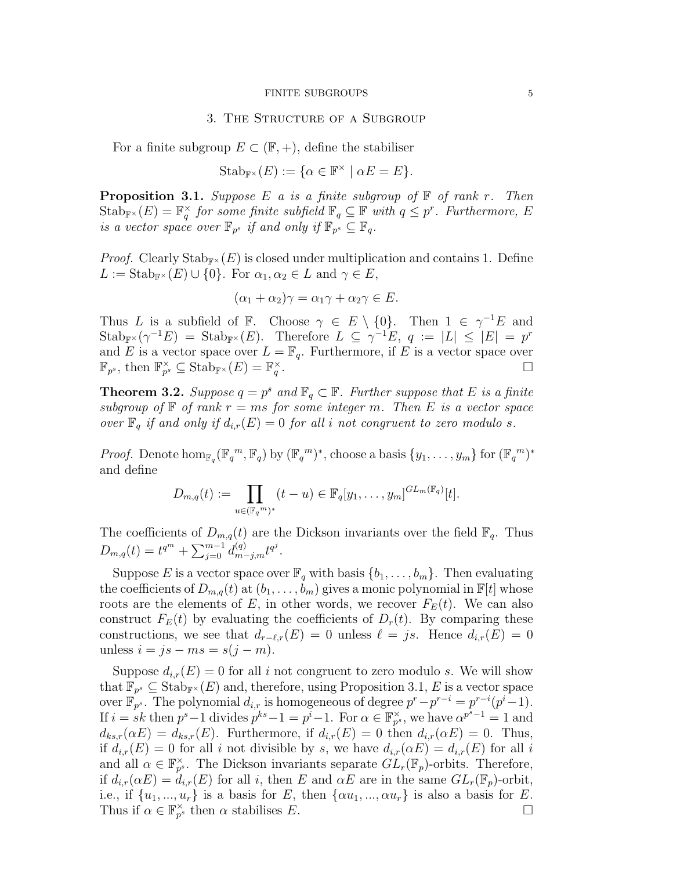#### FINITE SUBGROUPS 5

#### 3. The Structure of a Subgroup

For a finite subgroup  $E \subset (\mathbb{F}, +)$ , define the stabiliser

$$
Stab_{\mathbb{F}^\times}(E) := \{ \alpha \in \mathbb{F}^\times \mid \alpha E = E \}.
$$

**Proposition 3.1.** Suppose E a is a finite subgroup of  $\mathbb{F}$  of rank r. Then  $\operatorname{Stab}_{\mathbb{F}^{\times}}(E) = \mathbb{F}_q^{\times}$  for some finite subfield  $\mathbb{F}_q \subseteq \mathbb{F}$  with  $q \leq p^r$ . Furthermore, E is a vector space over  $\mathbb{F}_{p^s}$  if and only if  $\mathbb{F}_{p^s} \subseteq \mathbb{F}_q$ .

*Proof.* Clearly  $\text{Stab}_{\mathbb{F}^{\times}}(E)$  is closed under multiplication and contains 1. Define  $L := \text{Stab}_{\mathbb{F}^\times}(E) \cup \{0\}.$  For  $\alpha_1, \alpha_2 \in L$  and  $\gamma \in E$ ,

$$
(\alpha_1 + \alpha_2)\gamma = \alpha_1\gamma + \alpha_2\gamma \in E.
$$

Thus L is a subfield of F. Choose  $\gamma \in E \setminus \{0\}$ . Then  $1 \in \gamma^{-1}E$  and  $\text{Stab}_{\mathbb{F}^\times}(\gamma^{-1}E) = \text{Stab}_{\mathbb{F}^\times}(E)$ . Therefore  $L \subseteq \gamma^{-1}E$ ,  $q := |L| \leq |E| = p^r$ and E is a vector space over  $L = \mathbb{F}_q$ . Furthermore, if E is a vector space over  $\mathbb{F}_{p^s}$ , then  $\mathbb{F}_{p^s}^{\times} \subseteq$  Stab<sub>F</sub> $\times$  (E) =  $\mathbb{F}_q^{\times}$ . <sup>1</sup>. — № — № — № — № — № — № — № —

**Theorem 3.2.** Suppose  $q = p^s$  and  $\mathbb{F}_q \subset \mathbb{F}$ . Further suppose that E is a finite subgroup of  $\mathbb F$  of rank  $r = ms$  for some integer m. Then E is a vector space over  $\mathbb{F}_q$  if and only if  $d_{i,r}(E) = 0$  for all i not congruent to zero modulo s.

*Proof.* Denote  $\hom_{\mathbb{F}_q}(\mathbb{F}_q^m, \mathbb{F}_q)$  by  $(\mathbb{F}_q^m)^*$ , choose a basis  $\{y_1, \ldots, y_m\}$  for  $(\mathbb{F}_q^m)^*$ and define

$$
D_{m,q}(t) := \prod_{u \in (\mathbb{F}_q^m)^*} (t-u) \in \mathbb{F}_q[y_1,\ldots,y_m]^{GL_m(\mathbb{F}_q)}[t].
$$

The coefficients of  $D_{m,q}(t)$  are the Dickson invariants over the field  $\mathbb{F}_q$ . Thus  $D_{m,q}(t) = t^{q^m} + \sum_{j=0}^{m-1} d_{m-j,m}^{(q)} t^{q^j}.$ 

Suppose E is a vector space over  $\mathbb{F}_q$  with basis  $\{b_1, \ldots, b_m\}$ . Then evaluating the coefficients of  $D_{m,q}(t)$  at  $(b_1,\ldots,b_m)$  gives a monic polynomial in  $\mathbb{F}[t]$  whose roots are the elements of E, in other words, we recover  $F_E(t)$ . We can also construct  $F_E(t)$  by evaluating the coefficients of  $D_r(t)$ . By comparing these constructions, we see that  $d_{r-\ell,r}(E) = 0$  unless  $\ell = js$ . Hence  $d_{i,r}(E) = 0$ unless  $i = js - ms = s(j - m)$ .

Suppose  $d_{i,r}(E) = 0$  for all i not congruent to zero modulo s. We will show that  $\overline{\mathbb{F}}_{p^s} \subseteq \text{Stab}_{\mathbb{F}^\times}(E)$  and, therefore, using Proposition 3.1, E is a vector space over  $\mathbb{F}_{p^s}$ . The polynomial  $d_{i,r}$  is homogeneous of degree  $p^r - p^{r-i} = p^{r-i}(p^i-1)$ . If  $i = sk$  then  $p^{s}-1$  divides  $p^{ks}-1 = p^{i}-1$ . For  $\alpha \in \mathbb{F}_{p^{s}}^{\times}$ , we have  $\alpha^{p^{s}-1} = 1$  and  $d_{ks,r}(\alpha E) = d_{ks,r}(E)$ . Furthermore, if  $d_{i,r}(E) = 0$  then  $d_{i,r}(\alpha E) = 0$ . Thus, if  $d_{i,r}(E) = 0$  for all i not divisible by s, we have  $d_{i,r}(\alpha E) = d_{i,r}(E)$  for all i and all  $\alpha \in \mathbb{F}_{p^s}^{\times}$ . The Dickson invariants separate  $GL_r(\mathbb{F}_p)$ -orbits. Therefore, if  $d_{i,r}(\alpha E) = d_{i,r}(E)$  for all i, then E and  $\alpha E$  are in the same  $GL_r(\mathbb{F}_p)$ -orbit, i.e., if  $\{u_1, ..., u_r\}$  is a basis for E, then  $\{\alpha u_1, ..., \alpha u_r\}$  is also a basis for E. Thus if  $\alpha \in \mathbb{F}_{p^s}^{\times}$  then  $\alpha$  stabilises E.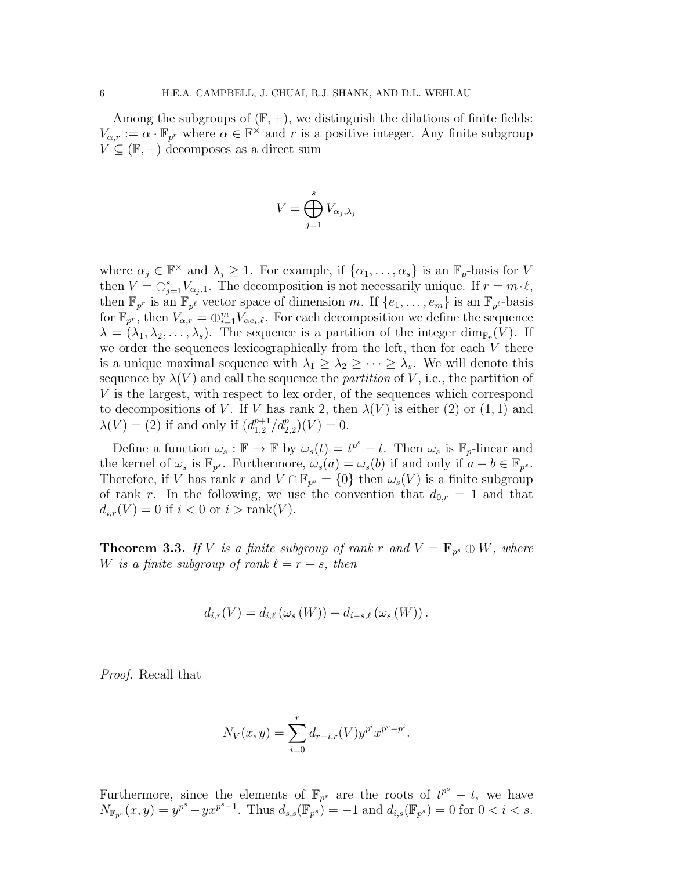Among the subgroups of  $(\mathbb{F}, +)$ , we distinguish the dilations of finite fields:  $V_{\alpha,r} := \alpha \cdot \mathbb{F}_{p^r}$  where  $\alpha \in \mathbb{F}^\times$  and r is a positive integer. Any finite subgroup  $V \subseteq (\mathbb{F}, +)$  decomposes as a direct sum

$$
V = \bigoplus_{j=1}^{s} V_{\alpha_j, \lambda_j}
$$

where  $\alpha_j \in \mathbb{F}^\times$  and  $\lambda_j \geq 1$ . For example, if  $\{\alpha_1, \ldots, \alpha_s\}$  is an  $\mathbb{F}_p$ -basis for V then  $V = \bigoplus_{j=1}^s V_{\alpha_j,1}$ . The decomposition is not necessarily unique. If  $r = m \cdot \ell$ , then  $\mathbb{F}_{p^r}$  is an  $\mathbb{F}_{p^{\ell}}$  vector space of dimension m. If  $\{e_1,\ldots,e_m\}$  is an  $\mathbb{F}_{p^{\ell}}$ -basis for  $\mathbb{F}_{p^r}$ , then  $V_{\alpha,r} = \bigoplus_{i=1}^m V_{\alpha e_i,\ell}$ . For each decomposition we define the sequence  $\lambda = (\lambda_1, \lambda_2, \dots, \lambda_s)$ . The sequence is a partition of the integer  $\dim_{\mathbb{F}_p}(V)$ . If we order the sequences lexicographically from the left, then for each  $V$  there is a unique maximal sequence with  $\lambda_1 \geq \lambda_2 \geq \cdots \geq \lambda_s$ . We will denote this sequence by  $\lambda(V)$  and call the sequence the *partition* of V, i.e., the partition of V is the largest, with respect to lex order, of the sequences which correspond to decompositions of V. If V has rank 2, then  $\lambda(V)$  is either (2) or (1, 1) and  $\lambda(V) = (2)$  if and only if  $(d_{1,2}^{p+1})$  $_{1,2}^{p+1}/d_{2,2}^{p}(V) = 0.$ 

Define a function  $\omega_s : \mathbb{F} \to \mathbb{F}$  by  $\omega_s(t) = t^{p^s} - t$ . Then  $\omega_s$  is  $\mathbb{F}_p$ -linear and the kernel of  $\omega_s$  is  $\mathbb{F}_{p^s}$ . Furthermore,  $\omega_s(a) = \omega_s(b)$  if and only if  $a - b \in \mathbb{F}_{p^s}$ . Therefore, if V has rank r and  $V \cap \mathbb{F}_{p^s} = \{0\}$  then  $\omega_s(V)$  is a finite subgroup of rank r. In the following, we use the convention that  $d_{0,r} = 1$  and that  $d_{i,r}(V) = 0$  if  $i < 0$  or  $i > \text{rank}(V)$ .

**Theorem 3.3.** If V is a finite subgroup of rank r and  $V = \mathbf{F}_{p^s} \oplus W$ , where W is a finite subgroup of rank  $\ell = r - s$ , then

$$
d_{i,r}(V) = d_{i,\ell}(\omega_s(W)) - d_{i-s,\ell}(\omega_s(W)).
$$

Proof. Recall that

$$
N_V(x, y) = \sum_{i=0}^{r} d_{r-i,r}(V) y^{p^i} x^{p^r - p^i}.
$$

Furthermore, since the elements of  $\mathbb{F}_{p^s}$  are the roots of  $t^{p^s} - t$ , we have  $N_{\mathbb{F}_{p^s}}(x,y) = y^{p^s} - yx^{p^s-1}$ . Thus  $d_{s,s}(\mathbb{F}_{p^s}) = -1$  and  $d_{i,s}(\mathbb{F}_{p^s}) = 0$  for  $0 < i < s$ .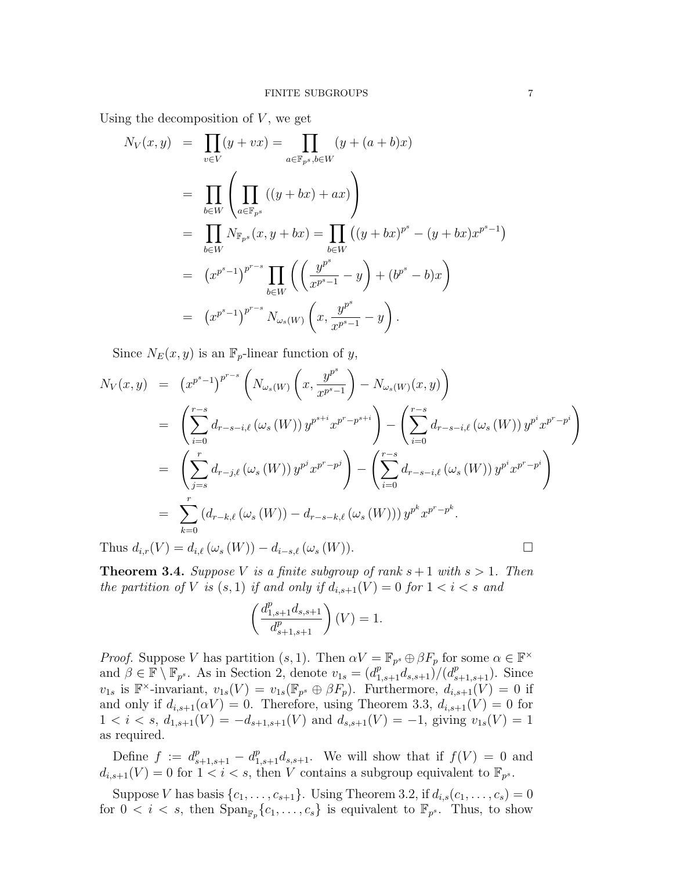Using the decomposition of  $V$ , we get

$$
N_V(x, y) = \prod_{v \in V} (y + vx) = \prod_{a \in \mathbb{F}_{p^s}, b \in W} (y + (a + b)x)
$$
  
\n
$$
= \prod_{b \in W} \left( \prod_{a \in \mathbb{F}_{p^s}} ((y + bx) + ax) \right)
$$
  
\n
$$
= \prod_{b \in W} N_{\mathbb{F}_{p^s}}(x, y + bx) = \prod_{b \in W} ((y + bx)^{p^s} - (y + bx)x^{p^s - 1})
$$
  
\n
$$
= (x^{p^s - 1})^{p^{r-s}} \prod_{b \in W} \left( \left( \frac{y^{p^s}}{x^{p^s - 1}} - y \right) + (b^{p^s} - b)x \right)
$$
  
\n
$$
= (x^{p^s - 1})^{p^{r-s}} N_{\omega_s(W)} \left( x, \frac{y^{p^s}}{x^{p^s - 1}} - y \right).
$$

Since  $N_E(x, y)$  is an  $\mathbb{F}_p$ -linear function of y,

$$
N_V(x, y) = (x^{p^s-1})^{p^{r-s}} \left( N_{\omega_s(W)} \left( x, \frac{y^{p^s}}{x^{p^s-1}} \right) - N_{\omega_s(W)}(x, y) \right)
$$
  
\n
$$
= \left( \sum_{i=0}^{r-s} d_{r-s-i,\ell} \left( \omega_s(W) \right) y^{p^{s+i}} x^{p^r - p^{s+i}} \right) - \left( \sum_{i=0}^{r-s} d_{r-s-i,\ell} \left( \omega_s(W) \right) y^{p^i} x^{p^r - p^i} \right)
$$
  
\n
$$
= \left( \sum_{j=s}^{r} d_{r-j,\ell} \left( \omega_s(W) \right) y^{p^j} x^{p^r - p^j} \right) - \left( \sum_{i=0}^{r-s} d_{r-s-i,\ell} \left( \omega_s(W) \right) y^{p^i} x^{p^r - p^i} \right)
$$
  
\n
$$
= \sum_{k=0}^{r} (d_{r-k,\ell} \left( \omega_s(W) \right) - d_{r-s-k,\ell} \left( \omega_s(W) \right) y^{p^k} x^{p^r - p^k}.
$$

Thus  $d_{i,r}(V) = d_{i,\ell}(\omega_s(W)) - d_{i-s,\ell}(\omega_s(W)).$ 

**Theorem 3.4.** Suppose V is a finite subgroup of rank  $s + 1$  with  $s > 1$ . Then the partition of V is  $(s, 1)$  if and only if  $d_{i,s+1}(V) = 0$  for  $1 < i < s$  and

$$
\left(\frac{d_{1,s+1}^p d_{s,s+1}}{d_{s+1,s+1}^p}\right)(V) = 1.
$$

*Proof.* Suppose V has partition  $(s, 1)$ . Then  $\alpha V = \mathbb{F}_{p^s} \oplus \beta F_p$  for some  $\alpha \in \mathbb{F}^\times$ and  $\beta \in \mathbb{F} \setminus \mathbb{F}_{p^s}$ . As in Section 2, denote  $v_{1s} = (d_{1,s+1}^p d_{s,s+1})/(d_{s+1,s+1}^p)$ . Since  $v_{1s}$  is  $\mathbb{F}^{\times}$ -invariant,  $v_{1s}(V) = v_{1s}(\mathbb{F}_{p^s} \oplus \beta F_p)$ . Furthermore,  $d_{i,s+1}(V) = 0$  if and only if  $d_{i,s+1}(\alpha V) = 0$ . Therefore, using Theorem 3.3,  $d_{i,s+1}(V) = 0$  for  $1 < i < s, d_{1,s+1}(V) = -d_{s+1,s+1}(V)$  and  $d_{s,s+1}(V) = -1$ , giving  $v_{1s}(V) = 1$ as required.

Define  $f := d_{s+1,s+1}^p - d_{1,s+1}^p d_{s,s+1}$ . We will show that if  $f(V) = 0$  and  $d_{i,s+1}(V) = 0$  for  $1 < i < s$ , then V contains a subgroup equivalent to  $\mathbb{F}_{p^s}$ .

Suppose V has basis  $\{c_1, \ldots, c_{s+1}\}$ . Using Theorem 3.2, if  $d_{i,s}(c_1, \ldots, c_s) = 0$ for  $0 < i < s$ , then  $\text{Span}_{\mathbb{F}_p}\{c_1, \ldots, c_s\}$  is equivalent to  $\mathbb{F}_{p^s}$ . Thus, to show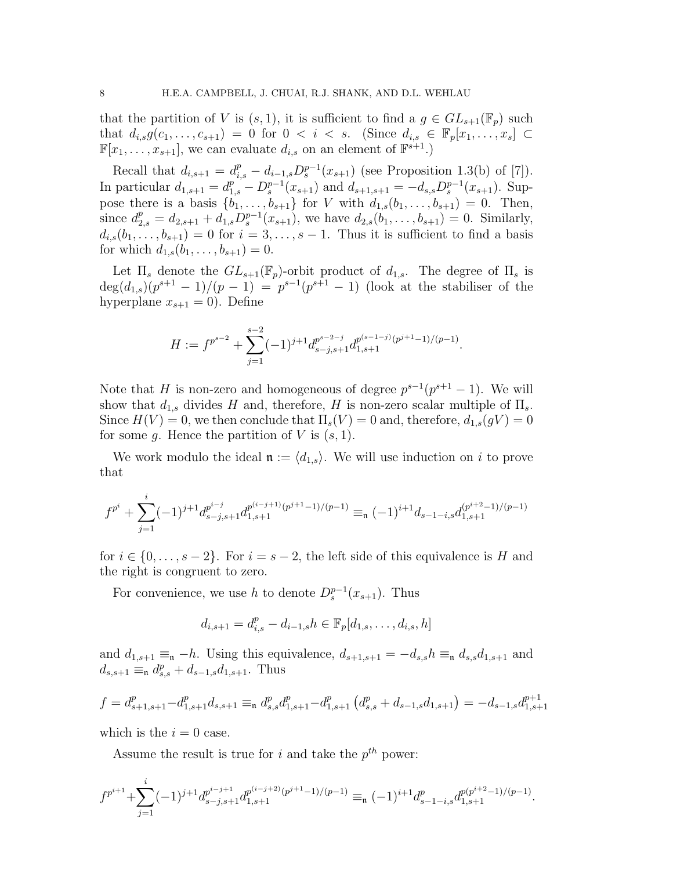that the partition of V is  $(s, 1)$ , it is sufficient to find a  $g \in GL_{s+1}(\mathbb{F}_p)$  such that  $d_{i,s}g(c_1,...,c_{s+1}) = 0$  for  $0 < i < s$ . (Since  $d_{i,s} \in \mathbb{F}_p[x_1,...,x_s] \subset$  $\mathbb{F}[x_1, \ldots, x_{s+1}],$  we can evaluate  $d_{i,s}$  on an element of  $\mathbb{F}^{s+1}$ .)

Recall that  $d_{i,s+1} = d_{i,s}^p - d_{i-1,s} D_s^{p-1}(x_{s+1})$  (see Proposition 1.3(b) of [7]). In particular  $d_{1,s+1} = d_{1,s}^p - D_s^{p-1}(x_{s+1})$  and  $d_{s+1,s+1} = -d_{s,s}D_s^{p-1}(x_{s+1})$ . Suppose there is a basis  $\{b_1, \ldots, b_{s+1}\}$  for V with  $d_{1,s}(b_1, \ldots, b_{s+1}) = 0$ . Then, since  $d_{2,s}^p = d_{2,s+1} + d_{1,s} D_s^{p-1}(x_{s+1}),$  we have  $d_{2,s}(b_1,\ldots,b_{s+1}) = 0$ . Similarly,  $d_{i,s}(b_1,\ldots,b_{s+1})=0$  for  $i=3,\ldots,s-1$ . Thus it is sufficient to find a basis for which  $d_{1,s}(b_1,\ldots,b_{s+1})=0$ .

Let  $\Pi_s$  denote the  $GL_{s+1}(\mathbb{F}_p)$ -orbit product of  $d_{1,s}$ . The degree of  $\Pi_s$  is  $\deg(d_{1,s})(p^{s+1}-1)/(p-1) = p^{s-1}(p^{s+1}-1)$  (look at the stabiliser of the hyperplane  $x_{s+1} = 0$ ). Define

$$
H := f^{p^{s-2}} + \sum_{j=1}^{s-2} (-1)^{j+1} d_{s-j,s+1}^{p^{s-2-j}} d_{1,s+1}^{p^{(s-1-j)}(p^{j+1}-1)/(p-1)}.
$$

Note that H is non-zero and homogeneous of degree  $p^{s-1}(p^{s+1}-1)$ . We will show that  $d_{1,s}$  divides H and, therefore, H is non-zero scalar multiple of  $\Pi_s$ . Since  $H(V) = 0$ , we then conclude that  $\Pi_s(V) = 0$  and, therefore,  $d_{1,s}(gV) = 0$ for some g. Hence the partition of V is  $(s, 1)$ .

We work modulo the ideal  $\mathfrak{n} := \langle d_{1,s} \rangle$ . We will use induction on i to prove that

$$
f^{p^i} + \sum_{j=1}^i (-1)^{j+1} d_{s-j,s+1}^{p^{i-j}} d_{1,s+1}^{p^{(i-j+1)}(p^{j+1}-1)/(p-1)} \equiv_n (-1)^{i+1} d_{s-1-i,s} d_{1,s+1}^{(p^{i+2}-1)/(p-1)}
$$

for  $i \in \{0, \ldots, s-2\}$ . For  $i = s-2$ , the left side of this equivalence is H and the right is congruent to zero.

For convenience, we use h to denote  $D_s^{p-1}(x_{s+1})$ . Thus

$$
d_{i,s+1} = d_{i,s}^p - d_{i-1,s}h \in \mathbb{F}_p[d_{1,s}, \dots, d_{i,s}, h]
$$

and  $d_{1,s+1} \equiv_n -h$ . Using this equivalence,  $d_{s+1,s+1} = -d_{s,s}h \equiv_n d_{s,s}d_{1,s+1}$  and  $d_{s,s+1} \equiv_{\mathfrak{n}} d_{s,s}^p + d_{s-1,s} d_{1,s+1}$ . Thus

$$
f = d_{s+1,s+1}^p - d_{1,s+1}^p d_{s,s+1} \equiv_n d_{s,s}^p d_{1,s+1}^p - d_{1,s+1}^p \left( d_{s,s}^p + d_{s-1,s} d_{1,s+1} \right) = -d_{s-1,s} d_{1,s+1}^{p+1}
$$

which is the  $i = 0$  case.

Assume the result is true for i and take the  $p^{th}$  power:

$$
f^{p^{i+1}} + \sum_{j=1}^{i} (-1)^{j+1} d_{s-j,s+1}^{p^{i-j+1}} d_{1,s+1}^{p^{(i-j+2)}(p^{j+1}-1)/(p-1)} \equiv_{\mathfrak{n}} (-1)^{i+1} d_{s-1-i,s}^p d_{1,s+1}^{p(p^{i+2}-1)/(p-1)}.
$$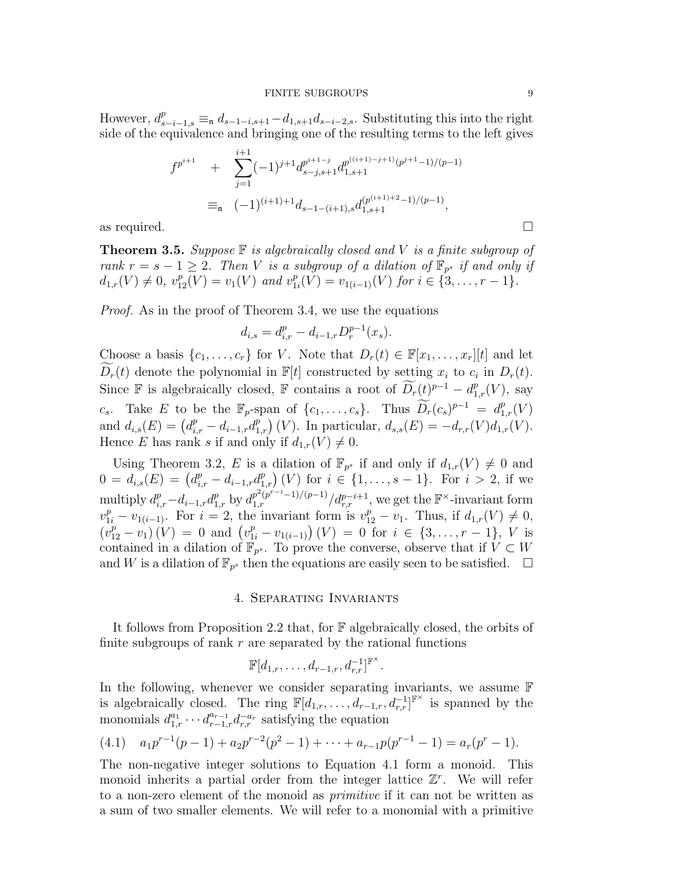However,  $d_{s-i-1,s}^p \equiv_n d_{s-1-i,s+1}-d_{1,s+1}d_{s-i-2,s}$ . Substituting this into the right side of the equivalence and bringing one of the resulting terms to the left gives

$$
f^{p^{i+1}} + \sum_{j=1}^{i+1} (-1)^{j+1} d_{s-j,s+1}^{p^{i+1-j}} d_{1,s+1}^{p^{((i+1)-j+1)}(p^{j+1}-1)/(p-1)}
$$
  
= 
$$
(-1)^{(i+1)+1} d_{s-1-(i+1),s} d_{1,s+1}^{(p^{(i+1)+2}-1)/(p-1)},
$$
  
as required.

**Theorem 3.5.** Suppose  $\mathbb F$  is algebraically closed and V is a finite subgroup of rank  $r = s - 1 \geq 2$ . Then V is a subgroup of a dilation of  $\mathbb{F}_{p^s}$  if and only if  $d_{1,r}(V) \neq 0$ ,  $v_{12}^p(V) = v_1(V)$  and  $v_1^p$  $u_{1i}^p(V) = v_{1(i-1)}(V)$  for  $i \in \{3, \ldots, r-1\}.$ 

Proof. As in the proof of Theorem 3.4, we use the equations

$$
d_{i,s} = d_{i,r}^p - d_{i-1,r} D_r^{p-1}(x_s).
$$

Choose a basis  $\{c_1, \ldots, c_r\}$  for V. Note that  $D_r(t) \in \mathbb{F}[x_1, \ldots, x_r][t]$  and let  $\widetilde{D_r}(t)$  denote the polynomial in  $\mathbb{F}[t]$  constructed by setting  $x_i$  to  $c_i$  in  $D_r(t)$ . Since F is algebraically closed, F contains a root of  $\widetilde{D_r}(t)^{p-1} - d_{1,r}^p(V)$ , say c<sub>s</sub>. Take E to be the  $\mathbb{F}_p$ -span of  $\{c_1, \ldots, c_s\}$ . Thus  $\widetilde{D_r}(c_s)^{p-1} = d_{1,r}^p(V)$ and  $d_{i,s}(E) = (d_{i,r}^p - d_{i-1,r}d_{1,r}^p)(V)$ . In particular,  $d_{s,s}(E) = -d_{r,r}(V)d_{1,r}(V)$ . Hence E has rank s if and only if  $d_{1,r}(V) \neq 0$ .

Using Theorem 3.2, E is a dilation of  $\mathbb{F}_{p^s}$  if and only if  $d_{1,r}(V) \neq 0$  and  $0 = d_{i,s}(E) = (d_{i,r}^p - d_{i-1,r}d_{1,r}^p)(V)$  for  $i \in \{1, \ldots, s-1\}$ . For  $i > 2$ , if we multiply  $d_{i,r}^p - d_{i-1,r} d_{1,r}^p$  by  $d_{1,r}^{p^2(p^{r-i}-1)/(p-1)}/d_{r,r}^{p-i+1}$ , we get the  $\mathbb{F}^{\times}$ -invariant form  $v_{1i}^p - v_{1(i-1)}$ . For  $i = 2$ , the invariant form is  $v_{12}^p - v_1$ . Thus, if  $d_{1,r}(V) \neq 0$ ,  $(v_{12}^p - v_1)(V) = 0$  and  $(v_{1i}^p - v_{1(i-1)})(V) = 0$  for  $i \in \{3, ..., r-1\}$ , V is contained in a dilation of  $\mathbb{F}_{p^s}$ . To prove the converse, observe that if  $V \subset W$ and W is a dilation of  $\mathbb{F}_{p^s}$  then the equations are easily seen to be satisfied.  $\Box$ 

#### 4. Separating Invariants

It follows from Proposition 2.2 that, for F algebraically closed, the orbits of finite subgroups of rank  $r$  are separated by the rational functions

$$
\mathbb{F}[d_{1,r},\ldots,d_{r-1,r},d_{r,r}^{-1}]^{\mathbb{F}^{\times}}.
$$

In the following, whenever we consider separating invariants, we assume F is algebraically closed. The ring  $\mathbb{F}[d_1,r,\ldots,d_{r-1,r},d_{r,r}^{-1}]^{\mathbb{F}^{\times}}$  is spanned by the monomials  $d_{1,r}^{a_1} \cdots d_{r-1,r}^{a_{r-1}} d_{r,r}^{-a_r}$  satisfying the equation

$$
(4.1) \t a_1 p^{r-1}(p-1) + a_2 p^{r-2}(p^2-1) + \cdots + a_{r-1} p(p^{r-1}-1) = a_r(p^r-1).
$$

The non-negative integer solutions to Equation 4.1 form a monoid. This monoid inherits a partial order from the integer lattice  $\mathbb{Z}^r$ . We will refer to a non-zero element of the monoid as primitive if it can not be written as a sum of two smaller elements. We will refer to a monomial with a primitive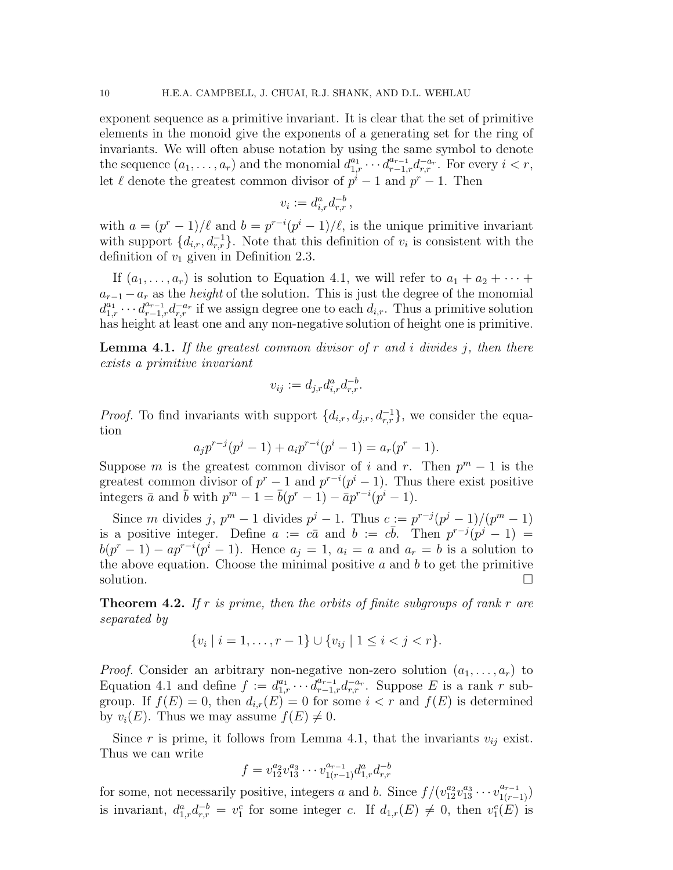exponent sequence as a primitive invariant. It is clear that the set of primitive elements in the monoid give the exponents of a generating set for the ring of invariants. We will often abuse notation by using the same symbol to denote the sequence  $(a_1, \ldots, a_r)$  and the monomial  $d_{1,r}^{a_1} \cdots d_{r-1,r}^{a_{r-1}} d_{r,r}^{-a_r}$ . For every  $i < r$ , let  $\ell$  denote the greatest common divisor of  $p^i - 1$  and  $p^r - 1$ . Then

$$
v_i := d_{i,r}^a d_{r,r}^{-b},
$$

with  $a = (p^r - 1)/\ell$  and  $b = p^{r-i}(p^i - 1)/\ell$ , is the unique primitive invariant with support  $\{d_{i,r}, d_{r,r}^{-1}\}$ . Note that this definition of  $v_i$  is consistent with the definition of  $v_1$  given in Definition 2.3.

If  $(a_1, \ldots, a_r)$  is solution to Equation 4.1, we will refer to  $a_1 + a_2 + \cdots$  $a_{r-1} - a_r$  as the *height* of the solution. This is just the degree of the monomial  $d_{1,r}^{a_1} \cdots d_{r-1,r}^{a_{r-1}} d_{r,r}^{-a_r}$  if we assign degree one to each  $d_{i,r}$ . Thus a primitive solution has height at least one and any non-negative solution of height one is primitive.

**Lemma 4.1.** If the greatest common divisor of r and i divides j, then there exists a primitive invariant

$$
v_{ij} := d_{j,r} d_{i,r}^a d_{r,r}^{-b}.
$$

*Proof.* To find invariants with support  $\{d_{i,r}, d_{j,r}, d_{r,r}^{-1}\}$ , we consider the equation

$$
a_j p^{r-j}(p^j-1) + a_i p^{r-i}(p^i-1) = a_r(p^r-1).
$$

Suppose m is the greatest common divisor of i and r. Then  $p^m - 1$  is the greatest common divisor of  $p^{r} - 1$  and  $p^{r-i}(p^{i} - 1)$ . Thus there exist positive integers  $\bar{a}$  and  $\bar{b}$  with  $p^m - 1 = \bar{b}(p^r - 1) - \bar{a}p^{r-i}(p^i - 1)$ .

Since m divides j,  $p^m - 1$  divides  $p^j - 1$ . Thus  $c := p^{r-j}(p^j - 1)/(p^m - 1)$ is a positive integer. Define  $a := c\bar{a}$  and  $b := c\bar{b}$ . Then  $p^{r-j}(p^j - 1) =$  $b(p^r-1) - ap^{r-i}(p^i-1)$ . Hence  $a_j = 1$ ,  $a_i = a$  and  $a_r = b$  is a solution to the above equation. Choose the minimal positive  $a$  and  $b$  to get the primitive solution.  $\Box$ 

**Theorem 4.2.** If r is prime, then the orbits of finite subgroups of rank r are separated by

$$
\{v_i \mid i = 1, \ldots, r - 1\} \cup \{v_{ij} \mid 1 \le i < j < r\}.
$$

*Proof.* Consider an arbitrary non-negative non-zero solution  $(a_1, \ldots, a_r)$  to Equation 4.1 and define  $f := d_{1,r}^{a_1} \cdots d_{r-1,r}^{a_{r-1}} d_{r,r}^{-a_r}$ . Suppose E is a rank r subgroup. If  $f(E) = 0$ , then  $d_{i,r}(E) = 0$  for some  $i < r$  and  $f(E)$  is determined by  $v_i(E)$ . Thus we may assume  $f(E) \neq 0$ .

Since r is prime, it follows from Lemma 4.1, that the invariants  $v_{ij}$  exist. Thus we can write

$$
f = v_{12}^{a_2} v_{13}^{a_3} \cdots v_{1(r-1)}^{a_{r-1}} d_{1,r}^a d_{r,r}^{-b}
$$

for some, not necessarily positive, integers a and b. Since  $f/(v_{12}^{a_2}v_{13}^{a_3}\cdots v_{1(r-1)}^{a_{r-1}})$ is invariant,  $d_{1,r}^a d_{r,r}^{-b} = v_1^c$  for some integer c. If  $d_{1,r}(E) \neq 0$ , then  $v_1^c(E)$  is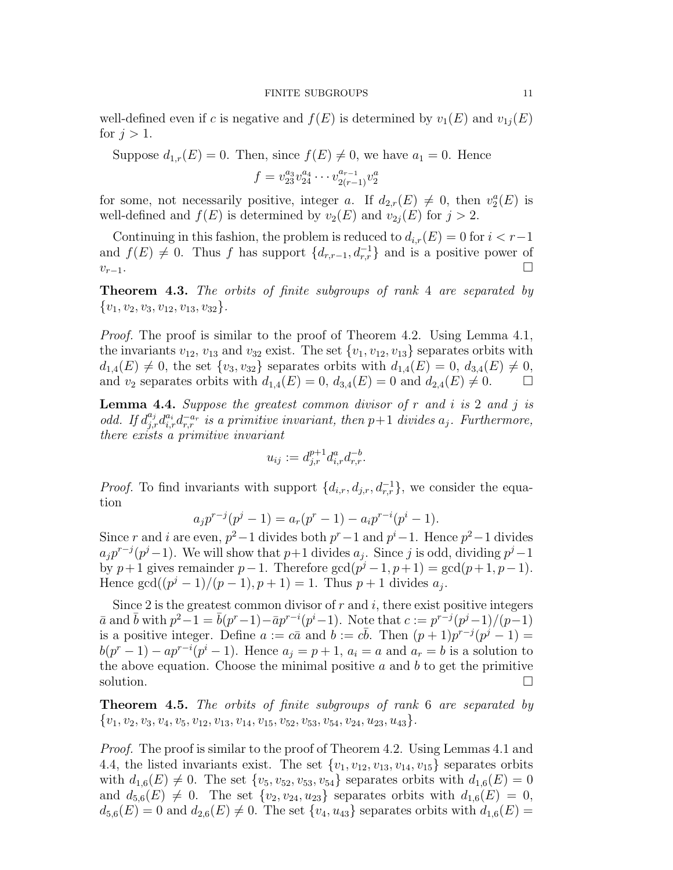well-defined even if c is negative and  $f(E)$  is determined by  $v_1(E)$  and  $v_{1j}(E)$ for  $j > 1$ .

Suppose  $d_{1,r}(E) = 0$ . Then, since  $f(E) \neq 0$ , we have  $a_1 = 0$ . Hence

 $f = v_{23}^{a_3} v_{24}^{a_4} \cdots v_{2(r-1)}^{a_{r-1}} v_2^a$ 

for some, not necessarily positive, integer a. If  $d_{2,r}(E) \neq 0$ , then  $v_2^a(E)$  is well-defined and  $f(E)$  is determined by  $v_2(E)$  and  $v_{2j}(E)$  for  $j > 2$ .

Continuing in this fashion, the problem is reduced to  $d_{i,r}(E) = 0$  for  $i < r-1$ and  $f(E) \neq 0$ . Thus f has support  $\{d_{r,r-1}, d_{r,r}^{-1}\}$  and is a positive power of  $v_{r-1}$ .

Theorem 4.3. The orbits of finite subgroups of rank 4 are separated by  ${v_1, v_2, v_3, v_{12}, v_{13}, v_{32}}.$ 

Proof. The proof is similar to the proof of Theorem 4.2. Using Lemma 4.1, the invariants  $v_{12}$ ,  $v_{13}$  and  $v_{32}$  exist. The set  $\{v_1, v_{12}, v_{13}\}$  separates orbits with  $d_{1,4}(E) \neq 0$ , the set  $\{v_3, v_{32}\}$  separates orbits with  $d_{1,4}(E) = 0$ ,  $d_{3,4}(E) \neq 0$ , and  $v_2$  separates orbits with  $d_{1,4}(E) = 0$ ,  $d_{3,4}(E) = 0$  and  $d_{2,4}(E) \neq 0$ .

**Lemma 4.4.** Suppose the greatest common divisor of r and i is 2 and j is odd. If  $d_{j,r}^{a_j}d_{i,r}^{a_i}d_{r,r}^{-a_r}$  is a primitive invariant, then  $p+1$  divides  $a_j$ . Furthermore, there exists a primitive invariant

$$
u_{ij} := d_{j,r}^{p+1} d_{i,r}^a d_{r,r}^{-b}.
$$

*Proof.* To find invariants with support  $\{d_{i,r}, d_{j,r}, d_{r,r}^{-1}\}$ , we consider the equation

$$
a_j p^{r-j}(p^j - 1) = a_r(p^r - 1) - a_i p^{r-i}(p^i - 1).
$$

Since r and i are even,  $p^2-1$  divides both  $p^r-1$  and  $p^i-1$ . Hence  $p^2-1$  divides  $a_j p^{r-j}(p^j-1)$ . We will show that  $p+1$  divides  $a_j$ . Since j is odd, dividing  $p^j-1$ by  $p+1$  gives remainder  $p-1$ . Therefore  $gcd(p^j-1, p+1) = gcd(p+1, p-1)$ . Hence  $\gcd((p^{j}-1)/(p-1), p+1) = 1$ . Thus  $p+1$  divides  $a_j$ .

Since 2 is the greatest common divisor of r and i, there exist positive integers  $\bar{a}$  and  $\bar{b}$  with  $p^2-1 = \bar{b}(p^r-1) - \bar{a}p^{r-i}(p^i-1)$ . Note that  $c := p^{r-j}(p^j-1)/(p-1)$ is a positive integer. Define  $a := c\bar{a}$  and  $b := c\bar{b}$ . Then  $(p+1)p^{r-j}(p^j-1) =$  $b(p^r-1) - ap^{r-i}(p^i-1)$ . Hence  $a_j = p+1$ ,  $a_i = a$  and  $a_r = b$  is a solution to the above equation. Choose the minimal positive  $a$  and  $b$  to get the primitive solution.  $\Box$ 

**Theorem 4.5.** The orbits of finite subgroups of rank 6 are separated by  ${v_1, v_2, v_3, v_4, v_5, v_{12}, v_{13}, v_{14}, v_{15}, v_{52}, v_{53}, v_{54}, v_{24}, u_{23}, u_{43}}.$ 

Proof. The proof is similar to the proof of Theorem 4.2. Using Lemmas 4.1 and 4.4, the listed invariants exist. The set  $\{v_1, v_{12}, v_{13}, v_{14}, v_{15}\}$  separates orbits with  $d_{1,6}(E) \neq 0$ . The set  $\{v_5, v_{52}, v_{53}, v_{54}\}$  separates orbits with  $d_{1,6}(E) = 0$ and  $d_{5,6}(E) \neq 0$ . The set  ${v_2, v_{24}, u_{23}}$  separates orbits with  $d_{1,6}(E) = 0$ ,  $d_{5,6}(E) = 0$  and  $d_{2,6}(E) \neq 0$ . The set  $\{v_4, u_{43}\}$  separates orbits with  $d_{1,6}(E) =$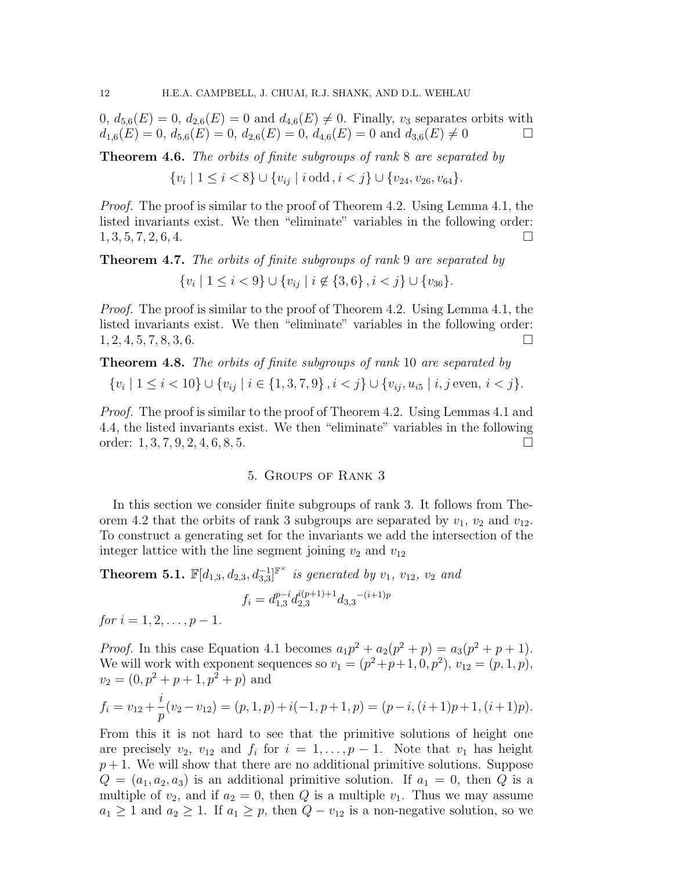$0, d_{5,6}(E) = 0, d_{2,6}(E) = 0$  and  $d_{4,6}(E) \neq 0$ . Finally,  $v_3$  separates orbits with  $d_{1,6}(E) = 0, d_{5,6}(E) = 0, d_{2,6}(E) = 0, d_{4,6}(E) = 0$  and  $d_{3,6}(E) \neq 0$ 

Theorem 4.6. The orbits of finite subgroups of rank 8 are separated by

$$
\{v_i \mid 1 \le i < 8\} \cup \{v_{ij} \mid i \text{ odd}, i < j\} \cup \{v_{24}, v_{26}, v_{64}\}.
$$

Proof. The proof is similar to the proof of Theorem 4.2. Using Lemma 4.1, the listed invariants exist. We then "eliminate" variables in the following order:  $1, 3, 5, 7, 2, 6, 4.$ 

Theorem 4.7. The orbits of finite subgroups of rank 9 are separated by

 $\{v_i \mid 1 \leq i < 9\} \cup \{v_{ij} \mid i \notin \{3,6\}, i < j\} \cup \{v_{36}\}.$ 

Proof. The proof is similar to the proof of Theorem 4.2. Using Lemma 4.1, the listed invariants exist. We then "eliminate" variables in the following order:  $1, 2, 4, 5, 7, 8, 3, 6.$ 

**Theorem 4.8.** The orbits of finite subgroups of rank 10 are separated by 
$$
\{v_i \mid 1 \leq i < 10\} \cup \{v_{ij} \mid i \in \{1, 3, 7, 9\}, i < j\} \cup \{v_{ij}, u_{i5} \mid i, j \text{ even}, i < j\}.
$$

Proof. The proof is similar to the proof of Theorem 4.2. Using Lemmas 4.1 and 4.4, the listed invariants exist. We then "eliminate" variables in the following order:  $1, 3, 7, 9, 2, 4, 6, 8, 5.$ 

#### 5. Groups of Rank 3

In this section we consider finite subgroups of rank 3. It follows from Theorem 4.2 that the orbits of rank 3 subgroups are separated by  $v_1$ ,  $v_2$  and  $v_{12}$ . To construct a generating set for the invariants we add the intersection of the integer lattice with the line segment joining  $v_2$  and  $v_{12}$ 

**Theorem 5.1.**  $\mathbb{F}[d_{1,3}, d_{2,3}, d_{3,3}^{-1}]^{\mathbb{F}^{\times}}$  is generated by  $v_1$ ,  $v_{12}$ ,  $v_2$  and

$$
f_i = d_{1,3}^{p-i} d_{2,3}^{i(p+1)+1} d_{3,3}^{-(i+1)p}
$$

for  $i = 1, 2, \ldots, p - 1$ .

*Proof.* In this case Equation 4.1 becomes  $a_1p^2 + a_2(p^2 + p) = a_3(p^2 + p + 1)$ . We will work with exponent sequences so  $v_1 = (p^2+p+1, 0, p^2), v_{12} = (p, 1, p),$  $v_2 = (0, p^2 + p + 1, p^2 + p)$  and

$$
f_i = v_{12} + \frac{i}{p}(v_2 - v_{12}) = (p, 1, p) + i(-1, p + 1, p) = (p - i, (i + 1)p + 1, (i + 1)p).
$$

From this it is not hard to see that the primitive solutions of height one are precisely  $v_2$ ,  $v_{12}$  and  $f_i$  for  $i = 1, \ldots, p - 1$ . Note that  $v_1$  has height  $p+1$ . We will show that there are no additional primitive solutions. Suppose  $Q = (a_1, a_2, a_3)$  is an additional primitive solution. If  $a_1 = 0$ , then Q is a multiple of  $v_2$ , and if  $a_2 = 0$ , then Q is a multiple  $v_1$ . Thus we may assume  $a_1 \geq 1$  and  $a_2 \geq 1$ . If  $a_1 \geq p$ , then  $Q - v_{12}$  is a non-negative solution, so we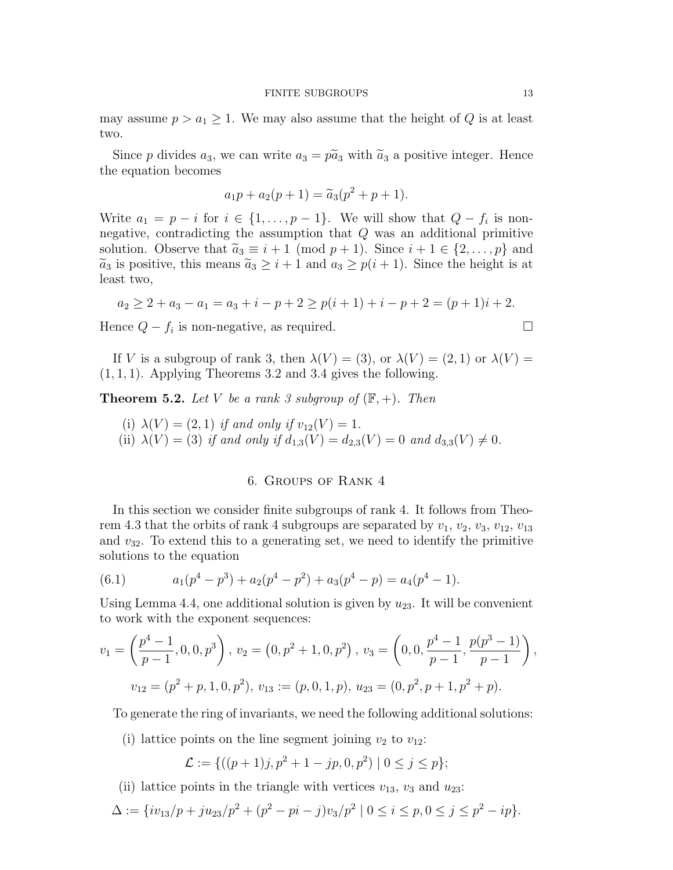may assume  $p > a_1 \geq 1$ . We may also assume that the height of Q is at least two.

Since p divides  $a_3$ , we can write  $a_3 = p\tilde{a}_3$  with  $\tilde{a}_3$  a positive integer. Hence the equation becomes

$$
a_1p + a_2(p+1) = \tilde{a}_3(p^2 + p + 1).
$$

Write  $a_1 = p - i$  for  $i \in \{1, ..., p - 1\}$ . We will show that  $Q - f_i$  is nonnegative, contradicting the assumption that  $Q$  was an additional primitive solution. Observe that  $\tilde{a}_3 \equiv i+1 \pmod{p+1}$ . Since  $i+1 \in \{2,\ldots,p\}$  and  $\widetilde{a}_3$  is positive, this means  $\widetilde{a}_3 \geq i+1$  and  $a_3 \geq p(i+1)$ . Since the height is at least two,

$$
a_2 \ge 2 + a_3 - a_1 = a_3 + i - p + 2 \ge p(i+1) + i - p + 2 = (p+1)i + 2.
$$

Hence  $Q - f_i$  is non-negative, as required.

If V is a subgroup of rank 3, then  $\lambda(V) = (3)$ , or  $\lambda(V) = (2, 1)$  or  $\lambda(V) =$  $(1, 1, 1)$ . Applying Theorems 3.2 and 3.4 gives the following.

**Theorem 5.2.** Let V be a rank 3 subgroup of  $(\mathbb{F}, +)$ . Then

(i) 
$$
\lambda(V) = (2, 1)
$$
 if and only if  $v_{12}(V) = 1$ .  
(ii)  $\lambda(V) = (3)$  if and only if  $d_{1,3}(V) = d_{2,3}(V) = 0$  and  $d_{3,3}(V) \neq 0$ .

#### 6. Groups of Rank 4

In this section we consider finite subgroups of rank 4. It follows from Theorem 4.3 that the orbits of rank 4 subgroups are separated by  $v_1, v_2, v_3, v_{12}, v_{13}$ and  $v_{32}$ . To extend this to a generating set, we need to identify the primitive solutions to the equation

(6.1) 
$$
a_1(p^4 - p^3) + a_2(p^4 - p^2) + a_3(p^4 - p) = a_4(p^4 - 1).
$$

Using Lemma 4.4, one additional solution is given by  $u_{23}$ . It will be convenient to work with the exponent sequences:

$$
v_1 = \left(\frac{p^4 - 1}{p - 1}, 0, 0, p^3\right), v_2 = \left(0, p^2 + 1, 0, p^2\right), v_3 = \left(0, 0, \frac{p^4 - 1}{p - 1}, \frac{p(p^3 - 1)}{p - 1}\right),
$$
  

$$
v_{12} = \left(p^2 + p, 1, 0, p^2\right), v_{13} := (p, 0, 1, p), u_{23} = (0, p^2, p + 1, p^2 + p).
$$

To generate the ring of invariants, we need the following additional solutions:

(i) lattice points on the line segment joining  $v_2$  to  $v_{12}$ :

$$
\mathcal{L} := \{ ((p+1)j, p^2 + 1 - jp, 0, p^2) \mid 0 \le j \le p \};
$$

(ii) lattice points in the triangle with vertices  $v_{13}$ ,  $v_3$  and  $u_{23}$ :

$$
\Delta := \{iv_{13}/p + ju_{23}/p^2 + (p^2 - pi - j)v_3/p^2 \mid 0 \le i \le p, 0 \le j \le p^2 - ip\}.
$$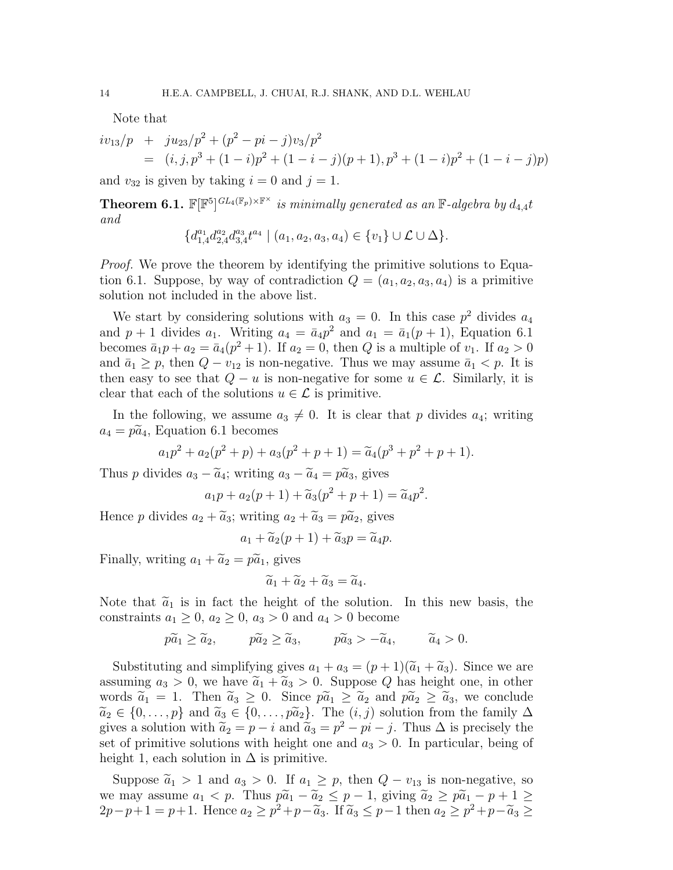Note that

$$
iv_{13}/p + ju_{23}/p^{2} + (p^{2} - pi - j)v_{3}/p^{2}
$$
  
=  $(i, j, p^{3} + (1 - i)p^{2} + (1 - i - j)(p + 1), p^{3} + (1 - i)p^{2} + (1 - i - j)p)$ 

and  $v_{32}$  is given by taking  $i = 0$  and  $j = 1$ .

**Theorem 6.1.**  $\mathbb{F}[\mathbb{F}^5]^{GL_4(\mathbb{F}_p)\times\mathbb{F}^\times}$  is minimally generated as an  $\mathbb{F}\text{-}algebra$  by  $d_{4,4}t$ and

$$
\{d_{1,4}^{a_1}d_{2,4}^{a_2}d_{3,4}^{a_3}t^{a_4} \mid (a_1,a_2,a_3,a_4) \in \{v_1\} \cup \mathcal{L} \cup \Delta\}.
$$

*Proof.* We prove the theorem by identifying the primitive solutions to Equation 6.1. Suppose, by way of contradiction  $Q = (a_1, a_2, a_3, a_4)$  is a primitive solution not included in the above list.

We start by considering solutions with  $a_3 = 0$ . In this case  $p^2$  divides  $a_4$ and  $p+1$  divides  $a_1$ . Writing  $a_4 = \bar{a}_4 p^2$  and  $a_1 = \bar{a}_1(p+1)$ , Equation 6.1 becomes  $\bar{a}_1 p + a_2 = \bar{a}_4(p^2 + 1)$ . If  $a_2 = 0$ , then Q is a multiple of  $v_1$ . If  $a_2 > 0$ and  $\bar{a}_1 \geq p$ , then  $Q - v_{12}$  is non-negative. Thus we may assume  $\bar{a}_1 < p$ . It is then easy to see that  $Q - u$  is non-negative for some  $u \in \mathcal{L}$ . Similarly, it is clear that each of the solutions  $u \in \mathcal{L}$  is primitive.

In the following, we assume  $a_3 \neq 0$ . It is clear that p divides  $a_4$ ; writing  $a_4 = p\ddot{a}_4$ , Equation 6.1 becomes

$$
a_1p^2 + a_2(p^2 + p) + a_3(p^2 + p + 1) = \tilde{a}_4(p^3 + p^2 + p + 1).
$$

Thus p divides  $a_3 - \tilde{a}_4$ ; writing  $a_3 - \tilde{a}_4 = p\tilde{a}_3$ , gives

$$
a_1p + a_2(p+1) + \widetilde{a}_3(p^2 + p + 1) = \widetilde{a}_4p^2.
$$

Hence p divides  $a_2 + \widetilde{a}_3$ ; writing  $a_2 + \widetilde{a}_3 = p\widetilde{a}_2$ , gives

$$
a_1 + \widetilde{a}_2(p+1) + \widetilde{a}_3 p = \widetilde{a}_4 p.
$$

Finally, writing  $a_1 + \widetilde{a}_2 = p\widetilde{a}_1$ , gives

$$
\widetilde{a}_1 + \widetilde{a}_2 + \widetilde{a}_3 = \widetilde{a}_4.
$$

Note that  $\tilde{a}_1$  is in fact the height of the solution. In this new basis, the constraints  $a_1 \geq 0$ ,  $a_2 \geq 0$ ,  $a_3 > 0$  and  $a_4 > 0$  become

 $p\widetilde{a}_1 > \widetilde{a}_2,$   $p\widetilde{a}_2 > \widetilde{a}_3,$   $p\widetilde{a}_3 > -\widetilde{a}_4,$   $\widetilde{a}_4 > 0.$ 

Substituting and simplifying gives  $a_1 + a_3 = (p+1)(\tilde{a}_1 + \tilde{a}_3)$ . Since we are assuming  $a_3 > 0$ , we have  $\tilde{a}_1 + \tilde{a}_3 > 0$ . Suppose Q has height one, in other words  $\tilde{a}_1 = 1$ . Then  $\tilde{a}_3 \geq 0$ . Since  $p\tilde{a}_1 \geq \tilde{a}_2$  and  $p\tilde{a}_2 \geq \tilde{a}_3$ , we conclude  $\widetilde{a}_2 \in \{0, \ldots, p\}$  and  $\widetilde{a}_3 \in \{0, \ldots, p\widetilde{a}_2\}$ . The  $(i, j)$  solution from the family  $\Delta$ gives a solution with  $\tilde{a}_2 = p - i$  and  $\tilde{a}_3 = p^2 - pi - j$ . Thus  $\Delta$  is precisely the set of primitive solutions with height one and  $a_3 > 0$ . In particular, being of height 1, each solution in  $\Delta$  is primitive.

Suppose  $\tilde{a}_1 > 1$  and  $a_3 > 0$ . If  $a_1 \geq p$ , then  $Q - v_{13}$  is non-negative, so we may assume  $a_1 < p$ . Thus  $p\tilde{a}_1 - \tilde{a}_2 \le p - 1$ , giving  $\tilde{a}_2 \ge p\tilde{a}_1 - p + 1 \ge$ 2p-p+1 = p+1. Hence  $a_2 \ge p^2 + p - \tilde{a}_3$ . If  $\tilde{a}_3 \le p-1$  then  $a_2 \ge p^2 + p - \tilde{a}_3$  ≥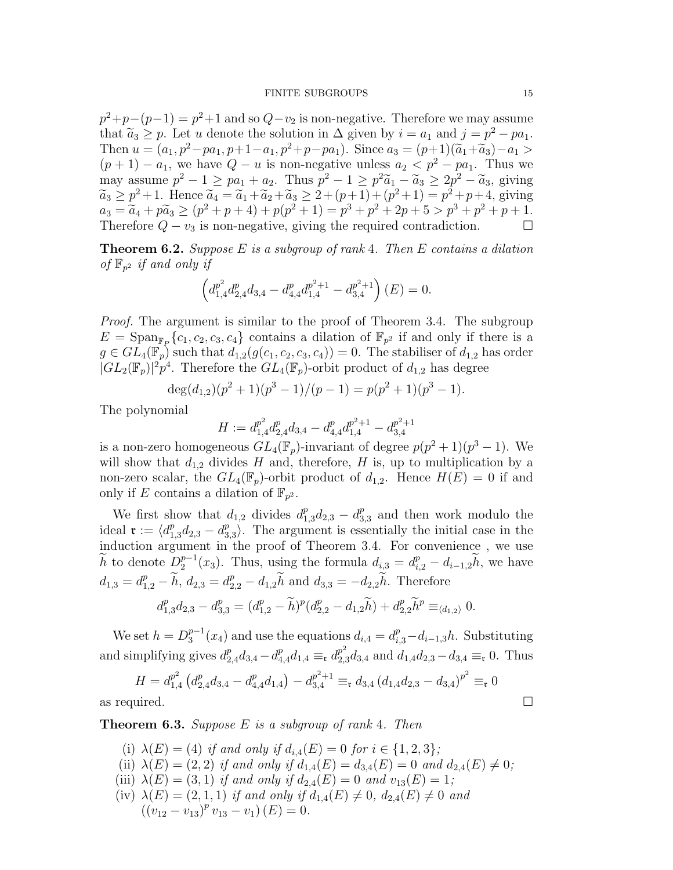#### FINITE SUBGROUPS 15

 $p^2+p-(p-1)=p^2+1$  and so  $Q-v_2$  is non-negative. Therefore we may assume that  $\widetilde{a}_3 \geq p$ . Let u denote the solution in  $\Delta$  given by  $i = a_1$  and  $j = p^2 - pa_1$ .<br>Then  $y = (a_1 - a^2)$  are  $x + 1 = a_1 - a_2 - a_1$ . Then  $u = (a_1, p^2 - pa_1, p+1-a_1, p^2+p-pa_1)$ . Since  $a_3 = (p+1)(\tilde{a}_1+\tilde{a}_3)-a_1 >$  $(p+1) - a_1$ , we have  $Q - u$  is non-negative unless  $a_2 < p^2 - pa_1$ . Thus we may assume  $p^2 - 1 \ge pa_1 + a_2$ . Thus  $p^2 - 1 \ge p^2 \widetilde{a}_1 - \widetilde{a}_3 \ge 2p^2 - \widetilde{a}_3$ , giving  $\widetilde{a}_3 \geq p^2 + 1$ . Hence  $\widetilde{a}_4 = \widetilde{a}_1 + \widetilde{a}_2 + \widetilde{a}_3 \geq 2 + (p+1) + (p^2 + 1) = p^2 + p + 4$ , giving  $a_3 = \tilde{a}_4 + p\tilde{a}_3 \ge (p^2 + p + 4) + p(p^2 + 1) = p^3 + p^2 + 2p + 5 > p^3 + p^2 + p + 1.$ Therefore  $Q - v_3$  is non-negative, giving the required contradiction.  $\Box$ 

**Theorem 6.2.** Suppose E is a subgroup of rank 4. Then E contains a dilation of  $\mathbb{F}_{p^2}$  if and only if

$$
\left(d_{1,4}^{p^2}d_{2,4}^{p}d_{3,4} - d_{4,4}^{p}d_{1,4}^{p^2+1} - d_{3,4}^{p^2+1}\right)(E) = 0.
$$

Proof. The argument is similar to the proof of Theorem 3.4. The subgroup  $E = \text{Span}_{\mathbb{F}_P} \{c_1, c_2, c_3, c_4\}$  contains a dilation of  $\mathbb{F}_{p^2}$  if and only if there is a  $g \in GL_4(\mathbb{F}_p)$  such that  $d_{1,2}(g(c_1, c_2, c_3, c_4)) = 0$ . The stabiliser of  $d_{1,2}$  has order  $|GL_2(\mathbb{F}_p)|^2 p^4$ . Therefore the  $GL_4(\mathbb{F}_p)$ -orbit product of  $d_{1,2}$  has degree

$$
\deg(d_{1,2})(p^2+1)(p^3-1)/(p-1) = p(p^2+1)(p^3-1).
$$

The polynomial

$$
H := d_{1,4}^{p^2} d_{2,4}^p d_{3,4} - d_{4,4}^p d_{1,4}^{p^2+1} - d_{3,4}^{p^2+1}
$$

is a non-zero homogeneous  $GL_4(\mathbb{F}_p)$ -invariant of degree  $p(p^2+1)(p^3-1)$ . We will show that  $d_{1,2}$  divides H and, therefore, H is, up to multiplication by a non-zero scalar, the  $GL_4(\mathbb{F}_p)$ -orbit product of  $d_{1,2}$ . Hence  $H(E) = 0$  if and only if E contains a dilation of  $\mathbb{F}_{p^2}$ .

We first show that  $d_{1,2}$  divides  $d_{1,3}^p d_{2,3} - d_3^p$  $_{3,3}^p$  and then work modulo the ideal  $\mathfrak{r} := \langle d_{1,3}^p d_{2,3} - d_3^p \rangle$  $_{3,3}^p$ . The argument is essentially the initial case in the induction argument in the proof of Theorem 3.4. For convenience , we use  $\widetilde{h}$  to denote  $D_2^{p-1}$  $a_{i,2}^{p-1}(x_3)$ . Thus, using the formula  $d_{i,3} = d_{i,2}^p - d_{i-1,2}\tilde{h}$ , we have  $d_{1,3} = d_{1,2}^p - \widetilde{h}, d_{2,3} = d_{2,2}^p - d_{1,2}\widetilde{h}$  and  $d_{3,3} = -d_{2,2}\widetilde{h}$ . Therefore

$$
d_{1,3}^p d_{2,3} - d_{3,3}^p = (d_{1,2}^p - \widetilde{h})^p (d_{2,2}^p - d_{1,2}\widetilde{h}) + d_{2,2}^p \widetilde{h}^p \equiv_{\langle d_{1,2} \rangle} 0.
$$

We set  $h = D_3^{p-1}$  $s_3^{p-1}(x_4)$  and use the equations  $d_{i,4} = d_{i,3}^p - d_{i-1,3}h$ . Substituting and simplifying gives  $d_{2,4}^p d_{3,4} - d_{4,4}^p d_{1,4} \equiv_{\mathfrak{r}} d_{2,3}^p d_{3,4}$  and  $d_{1,4} d_{2,3} - d_{3,4} \equiv_{\mathfrak{r}} 0$ . Thus

$$
H = d_{1,4}^{p^2} \left( d_{2,4}^p d_{3,4} - d_{4,4}^p d_{1,4} \right) - d_{3,4}^{p^2+1} \equiv_{\mathfrak{r}} d_{3,4} \left( d_{1,4} d_{2,3} - d_{3,4} \right)^{p^2} \equiv_{\mathfrak{r}} 0
$$
  
as required.

**Theorem 6.3.** Suppose  $E$  is a subgroup of rank 4. Then

- (i)  $\lambda(E) = (4)$  if and only if  $d_{i,4}(E) = 0$  for  $i \in \{1,2,3\}$ ;
- (ii)  $\lambda(E) = (2, 2)$  if and only if  $d_{1,4}(E) = d_{3,4}(E) = 0$  and  $d_{2,4}(E) \neq 0;$
- (iii)  $\lambda(E) = (3, 1)$  if and only if  $d_{2,4}(E) = 0$  and  $v_{13}(E) = 1$ ;
- (iv)  $\lambda(E) = (2, 1, 1)$  if and only if  $d_{1,4}(E) \neq 0$ ,  $d_{2,4}(E) \neq 0$  and  $((v_{12}-v_{13})^p v_{13}-v_1) (E)=0.$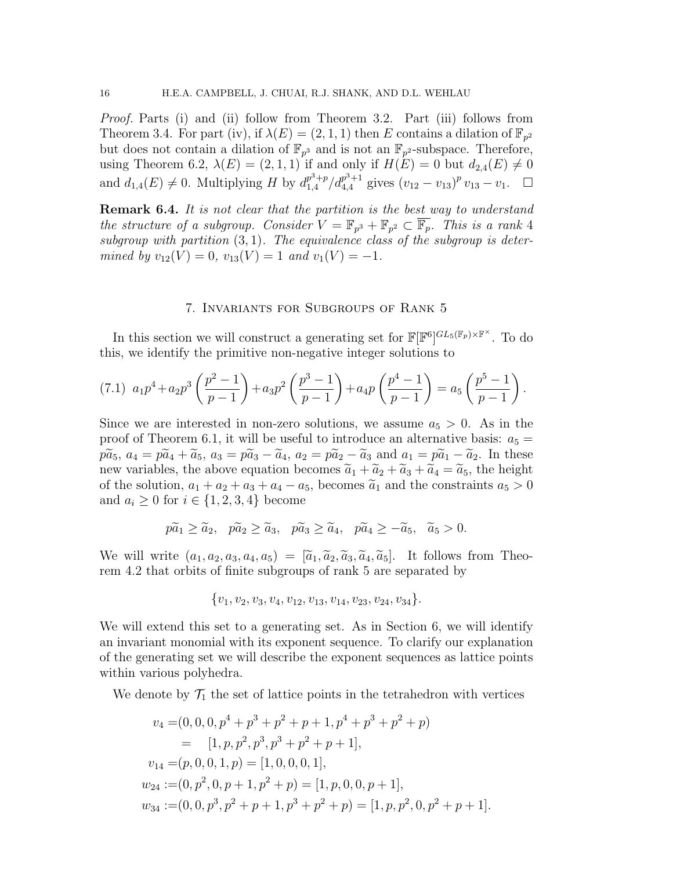Proof. Parts (i) and (ii) follow from Theorem 3.2. Part (iii) follows from Theorem 3.4. For part (iv), if  $\lambda(E) = (2, 1, 1)$  then E contains a dilation of  $\mathbb{F}_{p^2}$ but does not contain a dilation of  $\mathbb{F}_{p^3}$  and is not an  $\mathbb{F}_{p^2}$ -subspace. Therefore, using Theorem 6.2,  $\lambda(E) = (2, 1, 1)$  if and only if  $H(E) = 0$  but  $d_{2,4}(E) \neq 0$ and  $d_{1,4}(E) \neq 0$ . Multiplying H by  $d_{1,4}^{p^3+p}$  $\frac{p^3+p}{1,4}/d_{4,4}^{p^3+1}$  $v_{4,4}^{p^3+1}$  gives  $(v_{12}-v_{13})^p v_{13}-v_1$ . □

**Remark 6.4.** It is not clear that the partition is the best way to understand the structure of a subgroup. Consider  $V = \mathbb{F}_{p^3} + \mathbb{F}_{p^2} \subset \overline{\mathbb{F}_p}$ . This is a rank 4 subgroup with partition  $(3, 1)$ . The equivalence class of the subgroup is determined by  $v_{12}(V) = 0$ ,  $v_{13}(V) = 1$  and  $v_1(V) = -1$ .

#### 7. Invariants for Subgroups of Rank 5

In this section we will construct a generating set for  $\mathbb{F}[\mathbb{F}^6]^{GL_5(\mathbb{F}_p)\times\mathbb{F}^\times}$ . To do this, we identify the primitive non-negative integer solutions to

$$
(7.1) \ \ a_1 p^4 + a_2 p^3 \left(\frac{p^2 - 1}{p - 1}\right) + a_3 p^2 \left(\frac{p^3 - 1}{p - 1}\right) + a_4 p \left(\frac{p^4 - 1}{p - 1}\right) = a_5 \left(\frac{p^5 - 1}{p - 1}\right).
$$

Since we are interested in non-zero solutions, we assume  $a_5 > 0$ . As in the proof of Theorem 6.1, it will be useful to introduce an alternative basis:  $a_5 =$  $p\tilde{a}_5$ ,  $a_4 = p\tilde{a}_4 + \tilde{a}_5$ ,  $a_3 = p\tilde{a}_3 - \tilde{a}_4$ ,  $a_2 = p\tilde{a}_2 - \tilde{a}_3$  and  $a_1 = p\tilde{a}_1 - \tilde{a}_2$ . In these new variables, the above equation becomes  $\tilde{a}_1 + \tilde{a}_2 + \tilde{a}_3 + \tilde{a}_4 = \tilde{a}_5$ , the height of the solution,  $a_1 + a_2 + a_3 + a_4 - a_5$ , becomes  $\tilde{a}_1$  and the constraints  $a_5 > 0$ and  $a_i \geq 0$  for  $i \in \{1, 2, 3, 4\}$  become

$$
p\widetilde{a}_1 \ge \widetilde{a}_2, \quad p\widetilde{a}_2 \ge \widetilde{a}_3, \quad p\widetilde{a}_3 \ge \widetilde{a}_4, \quad p\widetilde{a}_4 \ge -\widetilde{a}_5, \quad \widetilde{a}_5 > 0.
$$

We will write  $(a_1, a_2, a_3, a_4, a_5) = [\tilde{a}_1, \tilde{a}_2, \tilde{a}_3, \tilde{a}_4, \tilde{a}_5]$ . It follows from Theorem 4.2 that orbits of finite subgroups of rank 5 are separated by

$$
\{v_1, v_2, v_3, v_4, v_{12}, v_{13}, v_{14}, v_{23}, v_{24}, v_{34}\}.
$$

We will extend this set to a generating set. As in Section 6, we will identify an invariant monomial with its exponent sequence. To clarify our explanation of the generating set we will describe the exponent sequences as lattice points within various polyhedra.

We denote by  $\mathcal{T}_1$  the set of lattice points in the tetrahedron with vertices

$$
v_4 = (0, 0, 0, p^4 + p^3 + p^2 + p + 1, p^4 + p^3 + p^2 + p)
$$
  
= [1, p, p^2, p^3, p^3 + p^2 + p + 1],  

$$
v_{14} = (p, 0, 0, 1, p) = [1, 0, 0, 0, 1],
$$
  

$$
w_{24} := (0, p^2, 0, p + 1, p^2 + p) = [1, p, 0, 0, p + 1],
$$
  

$$
w_{34} := (0, 0, p^3, p^2 + p + 1, p^3 + p^2 + p) = [1, p, p^2, 0, p^2 + p + 1].
$$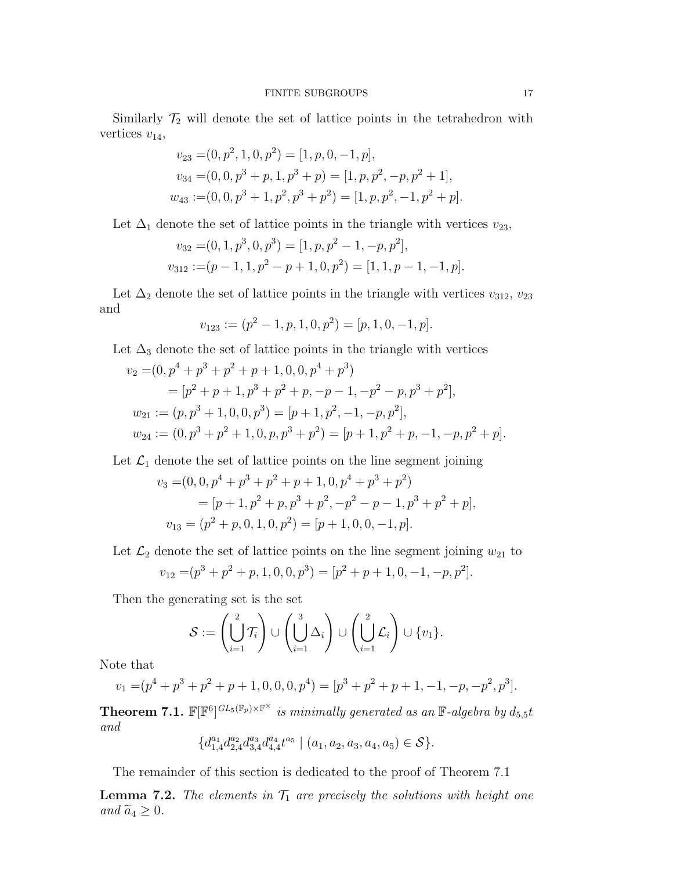Similarly  $\mathcal{T}_2$  will denote the set of lattice points in the tetrahedron with vertices  $v_{14}$ ,

$$
v_{23} = (0, p^2, 1, 0, p^2) = [1, p, 0, -1, p],
$$
  
\n
$$
v_{34} = (0, 0, p^3 + p, 1, p^3 + p) = [1, p, p^2, -p, p^2 + 1],
$$
  
\n
$$
w_{43} := (0, 0, p^3 + 1, p^2, p^3 + p^2) = [1, p, p^2, -1, p^2 + p].
$$

Let  $\Delta_1$  denote the set of lattice points in the triangle with vertices  $v_{23}$ ,

$$
v_{32} = (0, 1, p^3, 0, p^3) = [1, p, p^2 - 1, -p, p^2],
$$
  

$$
v_{312} := (p - 1, 1, p^2 - p + 1, 0, p^2) = [1, 1, p - 1, -1, p].
$$

Let  $\Delta_2$  denote the set of lattice points in the triangle with vertices  $v_{312}, v_{23}$ and

$$
v_{123} := (p^2 - 1, p, 1, 0, p^2) = [p, 1, 0, -1, p].
$$

Let  $\Delta_3$  denote the set of lattice points in the triangle with vertices

$$
v_2 = (0, p^4 + p^3 + p^2 + p + 1, 0, 0, p^4 + p^3)
$$
  
=  $[p^2 + p + 1, p^3 + p^2 + p, -p - 1, -p^2 - p, p^3 + p^2],$   

$$
w_{21} := (p, p^3 + 1, 0, 0, p^3) = [p + 1, p^2, -1, -p, p^2],
$$
  

$$
w_{24} := (0, p^3 + p^2 + 1, 0, p, p^3 + p^2) = [p + 1, p^2 + p, -1, -p, p^2 + p].
$$

Let  $\mathcal{L}_1$  denote the set of lattice points on the line segment joining

$$
v_3 = (0, 0, p^4 + p^3 + p^2 + p + 1, 0, p^4 + p^3 + p^2)
$$
  
=  $[p + 1, p^2 + p, p^3 + p^2, -p^2 - p - 1, p^3 + p^2 + p],$   

$$
v_{13} = (p^2 + p, 0, 1, 0, p^2) = [p + 1, 0, 0, -1, p].
$$

Let  $\mathcal{L}_2$  denote the set of lattice points on the line segment joining  $w_{21}$  to

$$
v_{12} = (p^3 + p^2 + p, 1, 0, 0, p^3) = [p^2 + p + 1, 0, -1, -p, p^2].
$$

Then the generating set is the set

$$
\mathcal{S} := \left(\bigcup_{i=1}^2 \mathcal{T}_i\right) \cup \left(\bigcup_{i=1}^3 \Delta_i\right) \cup \left(\bigcup_{i=1}^2 \mathcal{L}_i\right) \cup \{v_1\}.
$$

Note that

$$
v_1 = (p^4 + p^3 + p^2 + p + 1, 0, 0, 0, p^4) = [p^3 + p^2 + p + 1, -1, -p, -p^2, p^3].
$$

**Theorem 7.1.**  $\mathbb{F}[\mathbb{F}^6]^{GL_5(\mathbb{F}_p)\times\mathbb{F}^\times}$  is minimally generated as an  $\mathbb{F}\text{-}algebra$  by  $d_{5,5}t$ and

$$
\{d_{1,4}^{a_1}d_{2,4}^{a_2}d_{3,4}^{a_3}d_{4,4}^{a_4}t^{a_5} \mid (a_1,a_2,a_3,a_4,a_5) \in \mathcal{S}\}.
$$

The remainder of this section is dedicated to the proof of Theorem 7.1

**Lemma 7.2.** The elements in  $\mathcal{T}_1$  are precisely the solutions with height one and  $\widetilde{a}_4 \geq 0$ .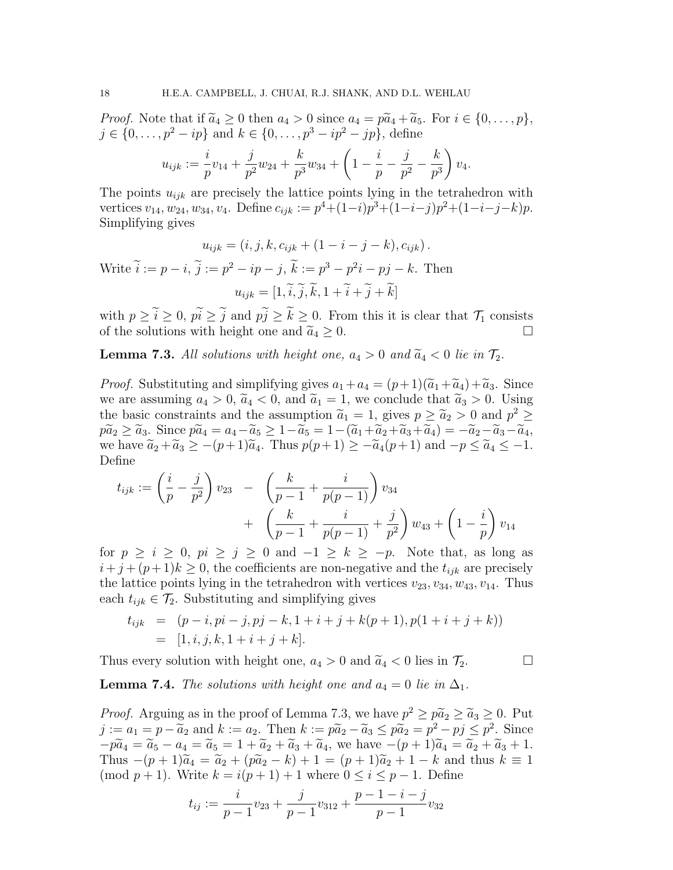*Proof.* Note that if  $\tilde{a}_4 \geq 0$  then  $a_4 > 0$  since  $a_4 = p\tilde{a}_4 + \tilde{a}_5$ . For  $i \in \{0, \ldots, p\},$  $j \in \{0, \ldots, p^2 - ip\}$  and  $k \in \{0, \ldots, p^3 - ip^2 - ip\}$ , define

$$
u_{ijk} := \frac{i}{p}v_{14} + \frac{j}{p^2}w_{24} + \frac{k}{p^3}w_{34} + \left(1 - \frac{i}{p} - \frac{j}{p^2} - \frac{k}{p^3}\right)v_4.
$$

The points  $u_{ijk}$  are precisely the lattice points lying in the tetrahedron with vertices  $v_{14}, w_{24}, w_{34}, v_4$ . Define  $c_{ijk} := p^4 + (1-i)p^3 + (1-i-j)p^2 + (1-i-j-k)p$ . Simplifying gives

$$
u_{ijk} = (i, j, k, c_{ijk} + (1 - i - j - k), c_{ijk}).
$$

Write  $i := p - i$ ,  $j := p^2 - ip - j$ ,  $k := p^3 - p^2i - pj - k$ . Then  $u_{ijk} = [1, \tilde{i}, \tilde{j}, \tilde{k}, 1 + \tilde{i} + \tilde{j} + \tilde{k}]$ 

with  $p \geq \tilde{i} \geq 0$ ,  $p\tilde{i} \geq \tilde{j}$  and  $p\tilde{j} \geq \tilde{k} \geq 0$ . From this it is clear that  $\mathcal{T}_1$  consists of the solutions with height one and  $\tilde{a}_4 > 0$ . of the solutions with height one and  $\tilde{a}_4 \geq 0$ .

**Lemma 7.3.** All solutions with height one,  $a_4 > 0$  and  $\widetilde{a}_4 < 0$  lie in  $\mathcal{T}_2$ .

*Proof.* Substituting and simplifying gives  $a_1 + a_4 = (p+1)(\tilde{a}_1 + \tilde{a}_4) + \tilde{a}_3$ . Since we are assuming  $a_4 > 0$ ,  $\tilde{a}_4 < 0$ , and  $\tilde{a}_1 = 1$ , we conclude that  $\tilde{a}_3 > 0$ . Using the basic constraints and the assumption  $\tilde{a}_1 = 1$ , gives  $p \ge \tilde{a}_2 > 0$  and  $p^2 \ge \tilde{a}_1 \ge \tilde{a}_2 \ge \tilde{a}_3$ .  $p\tilde{a}_2 \ge \tilde{a}_3$ . Since  $p\tilde{a}_4 = a_4 - \tilde{a}_5 \ge 1 - \tilde{a}_5 = 1 - (\tilde{a}_1 + \tilde{a}_2 + \tilde{a}_3 + \tilde{a}_4) = -\tilde{a}_2 - \tilde{a}_3 - \tilde{a}_4$ we have  $\tilde{a}_2 + \tilde{a}_3 \ge -(p+1)\tilde{a}_4$ . Thus  $p(p+1) \ge -\tilde{a}_4(p+1)$  and  $-p \le \tilde{a}_4 \le -1$ . Define

$$
t_{ijk} := \left(\frac{i}{p} - \frac{j}{p^2}\right)v_{23} - \left(\frac{k}{p-1} + \frac{i}{p(p-1)}\right)v_{34} + \left(\frac{k}{p-1} + \frac{i}{p(p-1)} + \frac{j}{p^2}\right)w_{43} + \left(1 - \frac{i}{p}\right)v_{14}
$$

for  $p \ge i \ge 0$ ,  $pi \ge j \ge 0$  and  $-1 \ge k \ge -p$ . Note that, as long as  $i+j+(p+1)k \geq 0$ , the coefficients are non-negative and the  $t_{ijk}$  are precisely the lattice points lying in the tetrahedron with vertices  $v_{23}, v_{34}, w_{43}, v_{14}$ . Thus each  $t_{ijk} \in \mathcal{T}_2$ . Substituting and simplifying gives

$$
t_{ijk} = (p-i, pi-j, pj-k, 1+i+j+k(p+1), p(1+i+j+k))
$$
  
= [1, i, j, k, 1+i+j+k].

Thus every solution with height one,  $a_4 > 0$  and  $\widetilde{a}_4 < 0$  lies in  $\mathcal{T}_2$ .

**Lemma 7.4.** The solutions with height one and  $a_4 = 0$  lie in  $\Delta_1$ .

*Proof.* Arguing as in the proof of Lemma 7.3, we have  $p^2 \geq p\tilde{a}_2 \geq \tilde{a}_3 \geq 0$ . Put  $j := a_1 = p - \widetilde{a}_2$  and  $k := a_2$ . Then  $k := p\widetilde{a}_2 - \widetilde{a}_3 \leq p\widetilde{a}_2 = p^2 - pj \leq p^2$ . Since  $-p\widetilde{a}_4 = \widetilde{a}_5 - a_4 = \widetilde{a}_5 = 1 + \widetilde{a}_2 + \widetilde{a}_3 + \widetilde{a}_4$ , we have  $-(p+1)\widetilde{a}_4 = \widetilde{a}_2 + \widetilde{a}_3 + 1$ . Thus  $-(p+1)\widetilde{a}_4 = \widetilde{a}_2 + (p\widetilde{a}_2 - k) + 1 = (p+1)\widetilde{a}_2 + 1 - k$  and thus  $k \equiv 1$ (mod  $p + 1$ ). Write  $k = i(p + 1) + 1$  where  $0 \le i \le p - 1$ . Define

$$
t_{ij} := \frac{i}{p-1}v_{23} + \frac{j}{p-1}v_{312} + \frac{p-1-i-j}{p-1}v_{32}
$$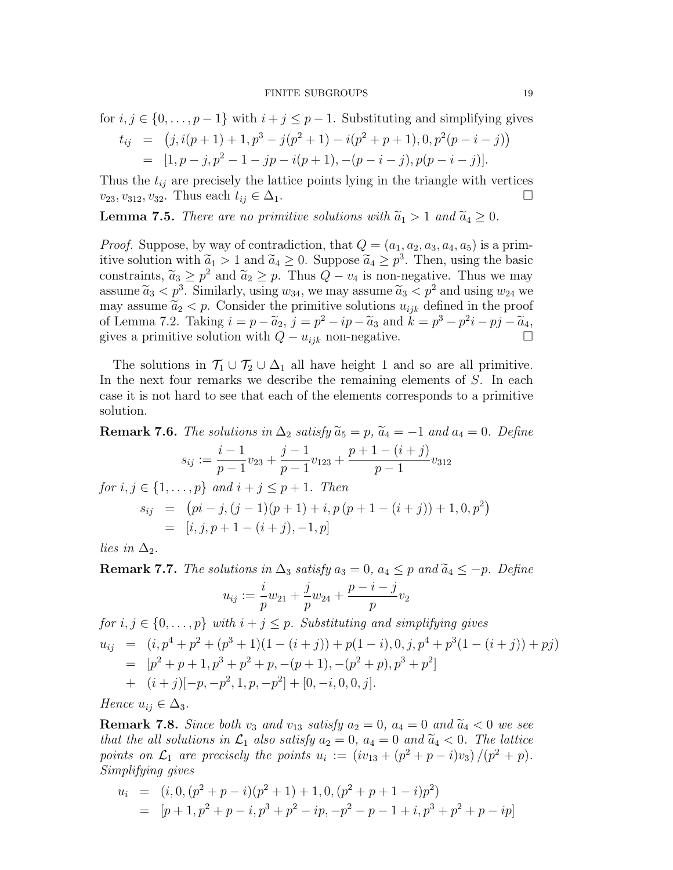for 
$$
i, j \in \{0, ..., p-1\}
$$
 with  $i + j \le p - 1$ . Substituting and simplifying gives

$$
t_{ij} = (j, i(p+1) + 1, p^3 - j(p^2 + 1) - i(p^2 + p + 1), 0, p^2(p - i - j))
$$
  
= [1, p - j, p^2 - 1 - jp - i(p + 1), -(p - i - j), p(p - i - j)].

Thus the  $t_{ij}$  are precisely the lattice points lying in the triangle with vertices  $v_{23}, v_{312}, v_{32}.$  Thus each  $t_{ij} \in \Delta_1$ .

**Lemma 7.5.** There are no primitive solutions with  $\tilde{a}_1 > 1$  and  $\tilde{a}_4 \geq 0$ .

*Proof.* Suppose, by way of contradiction, that  $Q = (a_1, a_2, a_3, a_4, a_5)$  is a primitive solution with  $\tilde{a}_1 > 1$  and  $\tilde{a}_4 \geq 0$ . Suppose  $\tilde{a}_4 \geq p^3$ . Then, using the basic<br>constraints  $\tilde{a}_1 > \tilde{a}_2$  and  $\tilde{a}_3 > \tilde{a}_3$ . Thus  $\Omega$  is non-negative. Thus we may constraints,  $\tilde{a}_3 \geq p^2$  and  $\tilde{a}_2 \geq p$ . Thus  $Q - v_4$  is non-negative. Thus we may assume  $\widetilde{a}_3 < p^3$ . Similarly, using  $w_{34}$ , we may assume  $\widetilde{a}_3 < p^2$  and using  $w_{24}$  we may assume  $\tilde{a}_2 < p$ . Consider the primitive solutions  $u_{ijk}$  defined in the proof of Lemma 7.2. Taking  $i = p - \tilde{a}_2$ ,  $j = p^2 - ip - \tilde{a}_3$  and  $k = p^3 - p^2i - pj - \tilde{a}_4$ , gives a primitive solution with  $Q - u_{ijk}$  non-negative.

The solutions in  $\mathcal{T}_1 \cup \mathcal{T}_2 \cup \Delta_1$  all have height 1 and so are all primitive. In the next four remarks we describe the remaining elements of  $S$ . In each case it is not hard to see that each of the elements corresponds to a primitive solution.

**Remark 7.6.** The solutions in 
$$
\Delta_2
$$
 satisfy  $\tilde{a}_5 = p$ ,  $\tilde{a}_4 = -1$  and  $a_4 = 0$ . Define  
\n
$$
s_{ij} := \frac{i-1}{p-1}v_{23} + \frac{j-1}{p-1}v_{123} + \frac{p+1-(i+j)}{p-1}v_{312}
$$
\nfor  $i, j \in \{1, ..., p\}$  and  $i + j \leq p + 1$ . Then  
\n
$$
s_{ij} = (pi - j, (j - 1)(p + 1) + i, p (p + 1 - (i + j)) + 1, 0, p^2)
$$
\n
$$
= [i, j, p + 1 - (i + j), -1, p]
$$

lies in  $\Delta_2$ .

**Remark 7.7.** The solutions in  $\Delta_3$  satisfy  $a_3 = 0$ ,  $a_4 \leq p$  and  $\widetilde{a}_4 \leq -p$ . Define  $u_{ij} :=$ i  $\frac{1}{p}w_{21} +$ j  $\frac{3}{p}w_{24} +$  $p - i - j$  $\frac{v}{p}$  $v_2$ for  $i, j \in \{0, \ldots, p\}$  with  $i + j \leq p$ . Substituting and simplifying gives

$$
u_{ij} = (i, p^4 + p^2 + (p^3 + 1)(1 - (i + j)) + p(1 - i), 0, j, p^4 + p^3(1 - (i + j)) + pj)
$$
  
=  $[p^2 + p + 1, p^3 + p^2 + p, -(p + 1), -(p^2 + p), p^3 + p^2]$   
+  $(i + j)[-p, -p^2, 1, p, -p^2] + [0, -i, 0, 0, j].$ 

Hence  $u_{ij} \in \Delta_3$ .

**Remark 7.8.** Since both  $v_3$  and  $v_{13}$  satisfy  $a_2 = 0$ ,  $a_4 = 0$  and  $\tilde{a}_4 < 0$  we see that the all solutions in  $\mathcal{L}_1$  also satisfy  $a_2 = 0$ ,  $a_4 = 0$  and  $\widetilde{a}_4 < 0$ . The lattice points on  $\mathcal{L}_1$  are precisely the points  $u_i := (iv_{13} + (p^2 + p - i)v_3)/(p^2 + p)$ . Simplifying gives

$$
u_i = (i, 0, (p^2 + p - i)(p^2 + 1) + 1, 0, (p^2 + p + 1 - i)p^2)
$$
  
= 
$$
[p + 1, p^2 + p - i, p^3 + p^2 - ip, -p^2 - p - 1 + i, p^3 + p^2 + p - ip]
$$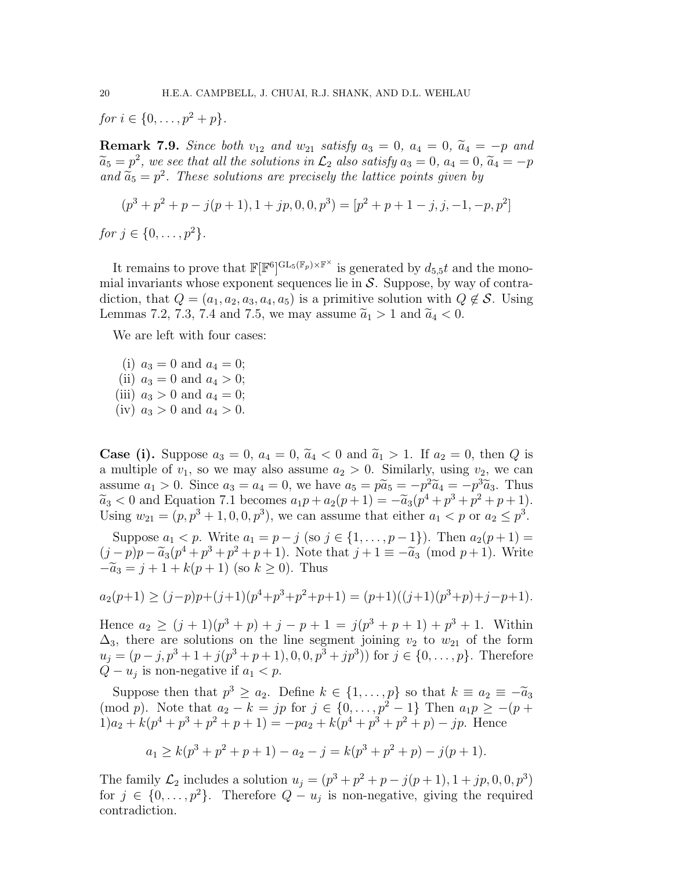for  $i \in \{0, \ldots, p^2 + p\}.$ 

**Remark 7.9.** Since both  $v_{12}$  and  $w_{21}$  satisfy  $a_3 = 0$ ,  $a_4 = 0$ ,  $\tilde{a}_4 = -p$  and  $\widetilde{a}_5 = p^2$ , we see that all the solutions in  $\mathcal{L}_2$  also satisfy  $a_3 = 0$ ,  $a_4 = 0$ ,  $\widetilde{a}_4 = -p$ and  $\widetilde{a}_5 = p^2$ . These solutions are precisely the lattice points given by

$$
(p3 + p2 + p - j(p + 1), 1 + jp, 0, 0, p3) = [p2 + p + 1 - j, j, -1, -p, p2]
$$
  
for  $j \in \{0, ..., p2\}.$ 

It remains to prove that  $\mathbb{F}[\mathbb{F}^6]^{\text{GL}_5(\mathbb{F}_p)\times\mathbb{F}^\times}$  is generated by  $d_{5,5}t$  and the monomial invariants whose exponent sequences lie in  $S$ . Suppose, by way of contradiction, that  $Q = (a_1, a_2, a_3, a_4, a_5)$  is a primitive solution with  $Q \notin \mathcal{S}$ . Using Lemmas 7.2, 7.3, 7.4 and 7.5, we may assume  $\tilde{a}_1 > 1$  and  $\tilde{a}_4 < 0$ .

We are left with four cases:

(i)  $a_3 = 0$  and  $a_4 = 0$ ; (ii)  $a_3 = 0$  and  $a_4 > 0$ ; (iii)  $a_3 > 0$  and  $a_4 = 0$ ; (iv)  $a_3 > 0$  and  $a_4 > 0$ .

**Case (i).** Suppose  $a_3 = 0$ ,  $a_4 = 0$ ,  $\tilde{a}_4 < 0$  and  $\tilde{a}_1 > 1$ . If  $a_2 = 0$ , then Q is a multiple of  $v_1$ , so we may also assume  $a_2 > 0$ . Similarly, using  $v_2$ , we can assume  $a_1 > 0$ . Since  $a_3 = a_4 = 0$ , we have  $a_5 = p\widetilde{a}_5 = -p^2\widetilde{a}_4 = -p^3\widetilde{a}_3$ . Thus  $\widetilde{a}_3 < 0$  and Equation 7.1 becomes  $a_1p + a_2(p+1) = -\widetilde{a}_3(p^4 + p^3 + p^2 + p + 1)$ . Using  $w_{21} = (p, p^3 + 1, 0, 0, p^3)$ , we can assume that either  $a_1 < p$  or  $a_2 \le p^3$ .

Suppose  $a_1 < p$ . Write  $a_1 = p - j$  (so  $j \in \{1, ..., p-1\}$ ). Then  $a_2(p+1) =$  $(j-p)p - \widetilde{a}_3(p^4+p^3+p^2+p+1)$ . Note that  $j+1 \equiv -\widetilde{a}_3 \pmod{p+1}$ . Write  $-\tilde{a}_3 = j + 1 + k(p+1)$  (so  $k > 0$ ). Thus

$$
a_2(p+1) \ge (j-p)p + (j+1)(p^4 + p^3 + p^2 + p + 1) = (p+1)((j+1)(p^3 + p) + j - p + 1).
$$

Hence  $a_2 \ge (j+1)(p^3+p)+j-p+1 = j(p^3+p+1)+p^3+1$ . Within  $\Delta_3$ , there are solutions on the line segment joining  $v_2$  to  $w_{21}$  of the form  $u_j = (p-j, p^3+1+j(p^3+p+1), 0, 0, p^3+jp^3))$  for  $j \in \{0, ..., p\}$ . Therefore  $Q - u_j$  is non-negative if  $a_1 < p$ .

Suppose then that  $p^3 \ge a_2$ . Define  $k \in \{1, ..., p\}$  so that  $k \equiv a_2 \equiv -\tilde{a}_3$ (mod p). Note that  $a_2 - k = jp$  for  $j \in \{0, ..., p^2 - 1\}$  Then  $a_1 p \ge -(p + 1)$  $1)a_2 + k(p^4 + p^3 + p^2 + p + 1) = -pa_2 + k(p^4 + p^3 + p^2 + p) - jp.$  Hence

$$
a_1 \ge k(p^3 + p^2 + p + 1) - a_2 - j = k(p^3 + p^2 + p) - j(p + 1).
$$

The family  $\mathcal{L}_2$  includes a solution  $u_j = (p^3 + p^2 + p - j(p+1), 1 + jp, 0, 0, p^3)$ for  $j \in \{0, \ldots, p^2\}$ . Therefore  $Q - u_j$  is non-negative, giving the required contradiction.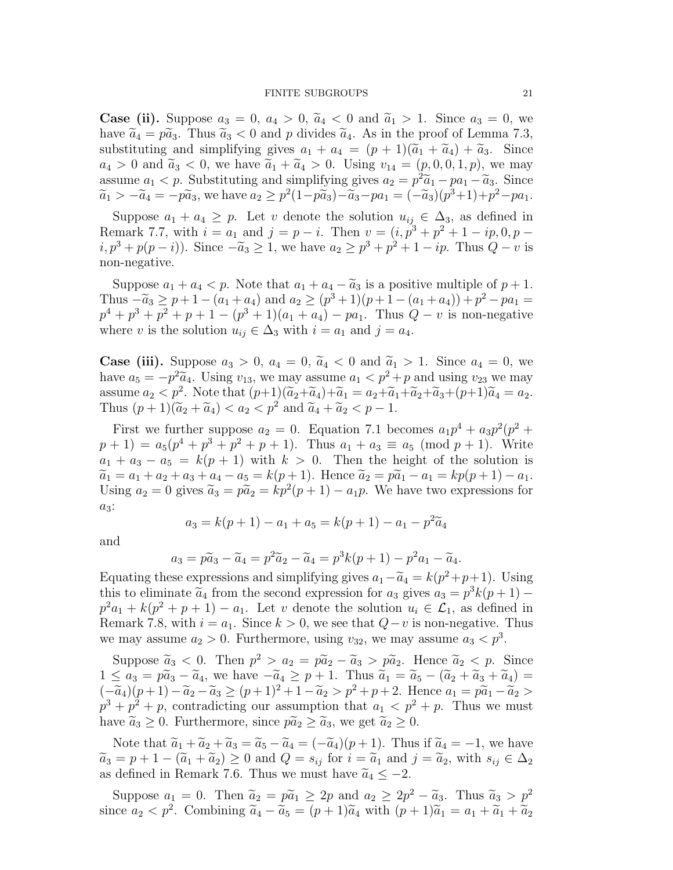#### FINITE SUBGROUPS 21

**Case (ii).** Suppose  $a_3 = 0$ ,  $a_4 > 0$ ,  $\tilde{a}_4 < 0$  and  $\tilde{a}_1 > 1$ . Since  $a_3 = 0$ , we have  $\tilde{a}_4 = p\tilde{a}_3$ . Thus  $\tilde{a}_3 < 0$  and p divides  $\tilde{a}_4$ . As in the proof of Lemma 7.3, substituting and simplifying gives  $a_1 + a_4 = (p + 1)(\tilde{a}_1 + \tilde{a}_4) + \tilde{a}_3$ . Since  $a_4 > 0$  and  $\widetilde{a}_3 < 0$ , we have  $\widetilde{a}_1 + \widetilde{a}_4 > 0$ . Using  $v_{14} = (p, 0, 0, 1, p)$ , we may assume  $a_1 < p$ . Substituting and simplifying gives  $a_2 = p^2 \tilde{a}_1 - p a_1 - \tilde{a}_3$ . Since  $\tilde{a}_1 > -\tilde{a}_4 = -p\tilde{a}_3$ , we have  $a_2 \ge p^2(1-p\tilde{a}_3) - \tilde{a}_3 - pa_1 = (-\tilde{a}_3)(p^3+1) + p^2 - pa_1$ .

Suppose  $a_1 + a_4 \geq p$ . Let v denote the solution  $u_{ij} \in \Delta_3$ , as defined in Remark 7.7, with  $i = a_1$  and  $j = p - i$ . Then  $v = (i, p^3 + p^2 + 1 - ip, 0, p (i, p^3 + p(p - i))$ . Since  $-\tilde{a}_3 \ge 1$ , we have  $a_2 \ge p^3 + p^2 + 1 - ip$ . Thus  $Q - v$  is non-negative.

Suppose  $a_1 + a_4 < p$ . Note that  $a_1 + a_4 - \tilde{a}_3$  is a positive multiple of  $p + 1$ . Thus  $-\tilde{a}_3 \geq p+1-(a_1+a_4)$  and  $a_2 \geq (p^3+1)(p+1-(a_1+a_4))+p^2-pa_1 =$  $p^{4} + p^{3} + p^{2} + p + 1 - (p^{3} + 1)(a_{1} + a_{4}) - pa_{1}$ . Thus  $Q - v$  is non-negative where v is the solution  $u_{ij} \in \Delta_3$  with  $i = a_1$  and  $j = a_4$ .

**Case (iii).** Suppose  $a_3 > 0$ ,  $a_4 = 0$ ,  $\tilde{a}_4 < 0$  and  $\tilde{a}_1 > 1$ . Since  $a_4 = 0$ , we have  $a_5 = -p^2\tilde{a}_4$ . Using  $v_{13}$ , we may assume  $a_1 < p^2 + p$  and using  $v_{23}$  we may assume  $a_2 < p^2$ . Note that  $(p+1)(\widetilde{a}_2+\widetilde{a}_4)+\widetilde{a}_1 = a_2+\widetilde{a}_1+\widetilde{a}_2+\widetilde{a}_3+(p+1)\widetilde{a}_4 = a_2$ . Thus  $(p+1)(\widetilde{a}_2+\widetilde{a}_4) < a_2 < p^2$  and  $\widetilde{a}_4+\widetilde{a}_2 < p-1$ .

First we further suppose  $a_2 = 0$ . Equation 7.1 becomes  $a_1 p^4 + a_3 p^2 (p^2 + p^3)$  $(p+1) = a_5(p^4 + p^3 + p^2 + p + 1)$ . Thus  $a_1 + a_3 \equiv a_5 \pmod{p+1}$ . Write  $a_1 + a_3 - a_5 = k(p + 1)$  with  $k > 0$ . Then the height of the solution is  $\widetilde{a}_1 = a_1 + a_2 + a_3 + a_4 - a_5 = k(p+1)$ . Hence  $\widetilde{a}_2 = p\widetilde{a}_1 - a_1 = kp(p+1) - a_1$ . Using  $a_2 = 0$  gives  $\tilde{a}_3 = p\tilde{a}_2 = kp^2(p+1) - a_1p$ . We have two expressions for  $a_3$ :

$$
a_3 = k(p+1) - a_1 + a_5 = k(p+1) - a_1 - p^2 \widetilde{a}_4
$$

and

$$
a_3 = p\widetilde{a}_3 - \widetilde{a}_4 = p^2 \widetilde{a}_2 - \widetilde{a}_4 = p^3 k(p+1) - p^2 a_1 - \widetilde{a}_4.
$$

Equating these expressions and simplifying gives  $a_1 - \tilde{a}_4 = k(p^2 + p + 1)$ . Using this to eliminate  $\tilde{a}$  from the second suppression for a given  $a_1 = \tilde{a}_1^3 k(x + 1)$ . this to eliminate  $\tilde{a}_4$  from the second expression for  $a_3$  gives  $a_3 = p^3k(p+1)$  $p^2a_1 + k(p^2 + p + 1) - a_1$ . Let v denote the solution  $u_i \in \mathcal{L}_1$ , as defined in Remark 7.8, with  $i = a_1$ . Since  $k > 0$ , we see that  $Q - v$  is non-negative. Thus we may assume  $a_2 > 0$ . Furthermore, using  $v_{32}$ , we may assume  $a_3 < p^3$ .

Suppose  $\tilde{a}_3 < 0$ . Then  $p^2 > a_2 = p\tilde{a}_2 - \tilde{a}_3 > p\tilde{a}_2$ . Hence  $\tilde{a}_2 < p$ . Since  $1 \leq a_3 = p\tilde{a}_3 - \tilde{a}_4$ , we have  $-\tilde{a}_4 \geq p+1$ . Thus  $\tilde{a}_1 = \tilde{a}_5 - (\tilde{a}_2 + \tilde{a}_3 + \tilde{a}_4) =$  $(-\widetilde{a}_4)(p+1) - \widetilde{a}_2 - \widetilde{a}_3 \ge (p+1)^2 + 1 - \widetilde{a}_2 > p^2 + p + 2$ . Hence  $a_1 = p\widetilde{a}_1 - \widetilde{a}_2 >$  $p^3 + p^2 + p$ , contradicting our assumption that  $a_1 < p^2 + p$ . Thus we must have  $\tilde{a}_3 \geq 0$ . Furthermore, since  $\tilde{p} \tilde{a}_2 \geq \tilde{a}_3$ , we get  $\tilde{a}_2 \geq 0$ .

Note that  $\tilde{a}_1 + \tilde{a}_2 + \tilde{a}_3 = \tilde{a}_5 - \tilde{a}_4 = (-\tilde{a}_4)(p+1)$ . Thus if  $\tilde{a}_4 = -1$ , we have  $\widetilde{a}_3 = p + 1 - (\widetilde{a}_1 + \widetilde{a}_2) \ge 0$  and  $Q = s_{ij}$  for  $i = \widetilde{a}_1$  and  $j = \widetilde{a}_2$ , with  $s_{ij} \in \Delta_2$ as defined in Remark 7.6. Thus we must have  $\tilde{a}_4 \leq -2$ .

Suppose  $a_1 = 0$ . Then  $\tilde{a}_2 = p\tilde{a}_1 \ge 2p$  and  $a_2 \ge 2p^2 - \tilde{a}_3$ . Thus  $\tilde{a}_3 > p^2$ since  $a_2 < p^2$ . Combining  $\tilde{a}_4 - \tilde{a}_5 = (p+1)\tilde{a}_4$  with  $(p+1)\tilde{a}_1 = a_1 + \tilde{a}_1 + \tilde{a}_2$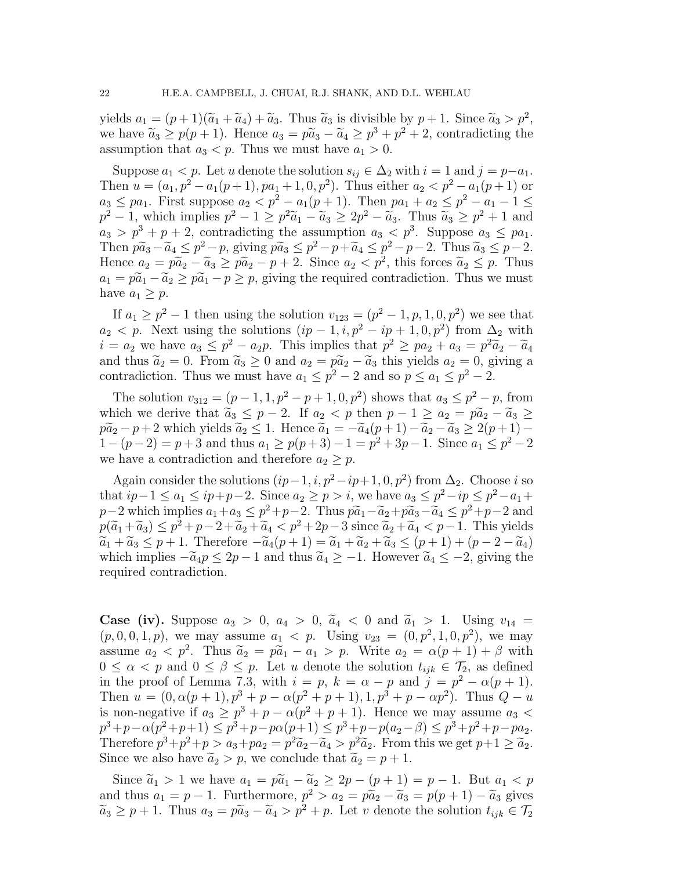yields  $a_1 = (p+1)(\tilde{a}_1 + \tilde{a}_4) + \tilde{a}_3$ . Thus  $\tilde{a}_3$  is divisible by  $p+1$ . Since  $\tilde{a}_3 > p^2$ , we have  $\tilde{a}_3 \geq p(p+1)$ . Hence  $a_3 = p\tilde{a}_3 - \tilde{a}_4 \geq p^3 + p^2 + 2$ , contradicting the assumption that  $a_3 < p$ . Thus we must have  $a_1 > 0$ .

Suppose  $a_1 < p$ . Let u denote the solution  $s_{ij} \in \Delta_2$  with  $i = 1$  and  $j = p-a_1$ . Then  $u = (a_1, p^2 - a_1(p+1), pa_1 + 1, 0, p^2)$ . Thus either  $a_2 < p^2 - a_1(p+1)$  or  $a_3 \leq pa_1$ . First suppose  $a_2 < p^2 - a_1(p+1)$ . Then  $pa_1 + a_2 \leq p^2 - a_1 - 1 \leq$  $p^2 - 1$ , which implies  $p^2 - 1 \ge p^2 \tilde{a}_1 - \tilde{a}_3 \ge 2p^2 - \tilde{a}_3$ . Thus  $\tilde{a}_3 \ge p^2 + 1$  and  $a_3 > p^3 + p + 2$ , contradicting the assumption  $a_3 < p^3$ . Suppose  $a_3 \leq pa_1$ . Then  $p\tilde{a}_3 - \tilde{a}_4 \leq p^2 - p$ , giving  $p\tilde{a}_3 \leq p^2 - p + \tilde{a}_4 \leq p^2 - p - 2$ . Thus  $\tilde{a}_3 \leq p - 2$ . Hence  $a_2 = p\widetilde{a}_2 - \widetilde{a}_3 \geq p\widetilde{a}_2 - p + 2$ . Since  $a_2 < p^2$ , this forces  $\widetilde{a}_2 \leq p$ . Thus  $a_1 = p\tilde{a}_1 - \tilde{a}_2 \ge p\tilde{a}_1 - p \ge p$ , giving the required contradiction. Thus we must have  $a_1 \geq p$ .

If  $a_1 \ge p^2 - 1$  then using the solution  $v_{123} = (p^2 - 1, p, 1, 0, p^2)$  we see that  $a_2 < p$ . Next using the solutions  $(ip - 1, i, p^2 - ip + 1, 0, p^2)$  from  $\Delta_2$  with  $i = a_2$  we have  $a_3 \leq p^2 - a_2p$ . This implies that  $p^2 \geq pa_2 + a_3 = p^2 \tilde{a}_2 - \tilde{a}_4$ and thus  $\tilde{a}_2 = 0$ . From  $\tilde{a}_3 \ge 0$  and  $a_2 = p\tilde{a}_2 - \tilde{a}_3$  this yields  $a_2 = 0$ , giving a contradiction. Thus we must have  $a_1 \leq p^2 - 2$  and so  $p \leq a_1 \leq p^2 - 2$ .

The solution  $v_{312} = (p-1, 1, p^2 - p + 1, 0, p^2)$  shows that  $a_3 \leq p^2 - p$ , from which we derive that  $\tilde{a}_3 \leq p-2$ . If  $a_2 < p$  then  $p-1 \geq a_2 = p\tilde{a}_2 - \tilde{a}_3 \geq$  $p\tilde{a}_2 - p + 2$  which yields  $\tilde{a}_2 \leq 1$ . Hence  $\tilde{a}_1 = -\tilde{a}_4(p+1) - \tilde{a}_2 - \tilde{a}_3 \geq 2(p+1) - \tilde{a}_4$  $1 - (p - 2) = p + 3$  and thus  $a_1 \ge p(p + 3) - 1 = p^2 + 3p - 1$ . Since  $a_1 \le p^2 - 2$ we have a contradiction and therefore  $a_2 \geq p$ .

Again consider the solutions  $(ip-1, i, p^2 - ip+1, 0, p^2)$  from  $\Delta_2$ . Choose i so that  $ip-1 \le a_1 \le ip+p-2$ . Since  $a_2 \ge p > i$ , we have  $a_3 \le p^2 - ip \le p^2 - a_1 +$  $p-2$  which implies  $a_1 + a_3 \leq p^2 + p - 2$ . Thus  $p\widetilde{a}_1 - \widetilde{a}_2 + p\widetilde{a}_3 - \widetilde{a}_4 \leq p^2 + p - 2$  and  $p(\widetilde{a}_1 + \widetilde{a}_3) \leq p^2 + p - 2 + \widetilde{a}_2 + \widetilde{a}_4 < p^2 + 2p - 3$  since  $\widetilde{a}_2 + \widetilde{a}_4 < p - 1$ . This yields  $\widetilde{a}_1 + \widetilde{a}_3 \leq p + 1$ . Therefore  $-\widetilde{a}_4(p+1) = \widetilde{a}_1 + \widetilde{a}_2 + \widetilde{a}_3 \leq (p+1) + (p-2-\widetilde{a}_4)$ which implies  $-\tilde{a}_4p \leq 2p-1$  and thus  $\tilde{a}_4 \geq -1$ . However  $\tilde{a}_4 \leq -2$ , giving the required contradiction.

**Case (iv).** Suppose  $a_3 > 0$ ,  $a_4 > 0$ ,  $\tilde{a}_4 < 0$  and  $\tilde{a}_1 > 1$ . Using  $v_{14} =$  $(p, 0, 0, 1, p)$ , we may assume  $a_1 < p$ . Using  $v_{23} = (0, p^2, 1, 0, p^2)$ , we may assume  $a_2 < p^2$ . Thus  $\widetilde{a}_2 = p\widetilde{a}_1 - a_1 > p$ . Write  $a_2 = \alpha(p+1) + \beta$  with  $0 \leq \alpha < p$  and  $0 \leq \beta \leq p$ . Let u denote the solution  $t_{ijk} \in \mathcal{T}_2$ , as defined in the proof of Lemma 7.3, with  $i = p$ ,  $k = \alpha - p$  and  $j = p^2 - \alpha(p+1)$ . Then  $u = (0, \alpha(p+1), p^3 + p - \alpha(p^2 + p + 1), 1, p^3 + p - \alpha p^2)$ . Thus  $Q - u$ is non-negative if  $a_3 \ge p^3 + p - \alpha(p^2 + p + 1)$ . Hence we may assume  $a_3$  <  $p^3+p-\alpha(p^2+p+1) \leq p^3+p-p\alpha(p+1) \leq p^3+p-p(a_2-\beta) \leq p^3+p^2+p-pa_2.$ Therefore  $p^3 + p^2 + p > a_3 + pa_2 = p^2 \tilde{a}_2 - \tilde{a}_4 > p^2 \tilde{a}_2$ . From this we get  $p+1 \geq \tilde{a}_2$ . Since we also have  $\tilde{a}_2 > p$ , we conclude that  $\tilde{a}_2 = p + 1$ .

Since  $\tilde{a}_1 > 1$  we have  $a_1 = p\tilde{a}_1 - \tilde{a}_2 \ge 2p - (p+1) = p-1$ . But  $a_1 < p$ and thus  $a_1 = p - 1$ . Furthermore,  $p^2 > a_2 = p\tilde{a}_2 - \tilde{a}_3 = p(p + 1) - \tilde{a}_3$  gives  $\widetilde{a}_3 \geq p+1$ . Thus  $a_3 = p\widetilde{a}_3 - \widetilde{a}_4 > p^2 + p$ . Let v denote the solution  $t_{ijk} \in \mathcal{T}_2$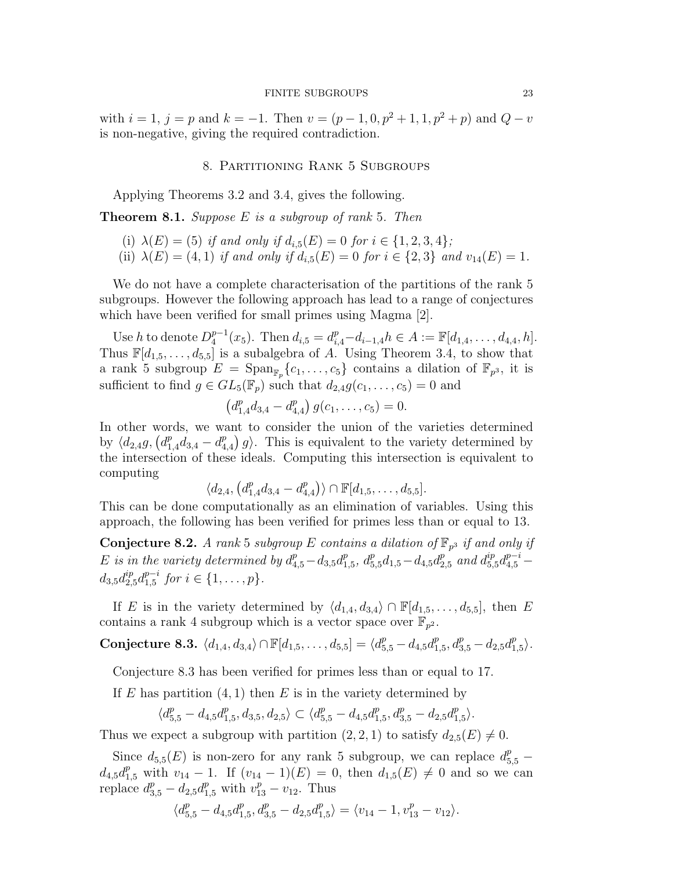#### FINITE SUBGROUPS 23

with  $i = 1, j = p$  and  $k = -1$ . Then  $v = (p - 1, 0, p^2 + 1, 1, p^2 + p)$  and  $Q - v$ is non-negative, giving the required contradiction.

#### 8. Partitioning Rank 5 Subgroups

Applying Theorems 3.2 and 3.4, gives the following.

**Theorem 8.1.** Suppose  $E$  is a subgroup of rank 5. Then

- (i)  $\lambda(E) = (5)$  if and only if  $d_{i,5}(E) = 0$  for  $i \in \{1, 2, 3, 4\}$ ;
- (ii)  $\lambda(E) = (4, 1)$  if and only if  $d_{i,5}(E) = 0$  for  $i \in \{2, 3\}$  and  $v_{14}(E) = 1$ .

We do not have a complete characterisation of the partitions of the rank 5 subgroups. However the following approach has lead to a range of conjectures which have been verified for small primes using Magma [2].

Use h to denote  $D_4^{p-1}$  $_{4}^{p-1}(x_5)$ . Then  $d_{i,5} = d_{i,4}^p - d_{i-1,4}h \in A := \mathbb{F}[d_{1,4}, \ldots, d_{4,4}, h].$ Thus  $\mathbb{F}[d_{1,5}, \ldots, d_{5,5}]$  is a subalgebra of A. Using Theorem 3.4, to show that a rank 5 subgroup  $E = \text{Span}_{\mathbb{F}_p} \{c_1, \ldots, c_5\}$  contains a dilation of  $\mathbb{F}_{p^3}$ , it is sufficient to find  $g \in GL_5(\mathbb{F}_p)$  such that  $d_{2,4}g(c_1,\ldots,c_5)=0$  and

$$
\left(d_{1,4}^p d_{3,4} - d_{4,4}^p\right) g(c_1,\ldots,c_5) = 0.
$$

In other words, we want to consider the union of the varieties determined by  $\langle d_{2,4}g, (d_{1,4}^p d_{3,4} - d_4^p \rangle$  $_{4,4}^{p}$  g). This is equivalent to the variety determined by the intersection of these ideals. Computing this intersection is equivalent to computing

$$
\langle d_{2,4}, \left( d_{1,4}^p d_{3,4} - d_{4,4}^p \right) \rangle \cap \mathbb{F}[d_{1,5}, \ldots, d_{5,5}].
$$

This can be done computationally as an elimination of variables. Using this approach, the following has been verified for primes less than or equal to 13.

Conjecture 8.2. A rank 5 subgroup E contains a dilation of  $\mathbb{F}_{p^3}$  if and only if E is in the variety determined by  $d_{4,5}^p - d_{3,5}d_1^p$  $_{1,5}^p$ ,  $d_{5,5}^p d_{1,5} - d_{4,5} d_{2,5}^p$  and  $d_{5,5}^{ip} d_{4,5}^{p-i}$  $d_{3,5}d_{2,5}^{ip}d_{1,5}^{p-i}$  $_{1,5}^{p-i}$  for  $i \in \{1, \ldots, p\}$ .

If E is in the variety determined by  $\langle d_{1,4}, d_{3,4} \rangle \cap \mathbb{F}[d_{1,5}, \ldots, d_{5,5}],$  then E contains a rank 4 subgroup which is a vector space over  $\mathbb{F}_{p^2}$ .

Conjecture 8.3.  $\langle d_{1,4}, d_{3,4}\rangle \cap \mathbb{F}[d_{1,5}, \ldots, d_{5,5}] = \langle d_{5,5}^p - d_{4,5}d_1^p \rangle$  $a_{1,5}^p, d_{3,5}^p - d_{2,5}d_1^p$  $_{1,5}^p\rangle$  .

Conjecture 8.3 has been verified for primes less than or equal to 17.

If E has partition  $(4, 1)$  then E is in the variety determined by

$$
\langle d_{5,5}^{p}-d_{4,5}d_{1,5}^{p},d_{3,5},d_{2,5}\rangle\subset\langle d_{5,5}^{p}-d_{4,5}d_{1,5}^{p},d_{3,5}^{p}-d_{2,5}d_{1,5}^{p}\rangle.
$$

Thus we expect a subgroup with partition  $(2, 2, 1)$  to satisfy  $d_{2,5}(E) \neq 0$ .

Since  $d_{5,5}(E)$  is non-zero for any rank 5 subgroup, we can replace  $d_{5,5}^p$  –  $d_{4,5}d_{1,5}^p$  with  $v_{14}-1$ . If  $(v_{14}-1)(E)=0$ , then  $d_{1,5}(E)\neq 0$  and so we can replace  $d_{3,5}^p - d_{2,5} d_{1,5}^p$  with  $v_{13}^p - v_{12}$ . Thus

$$
\langle d_{5,5}^p - d_{4,5} d_{1,5}^p, d_{3,5}^p - d_{2,5} d_{1,5}^p \rangle = \langle v_{14} - 1, v_{13}^p - v_{12} \rangle.
$$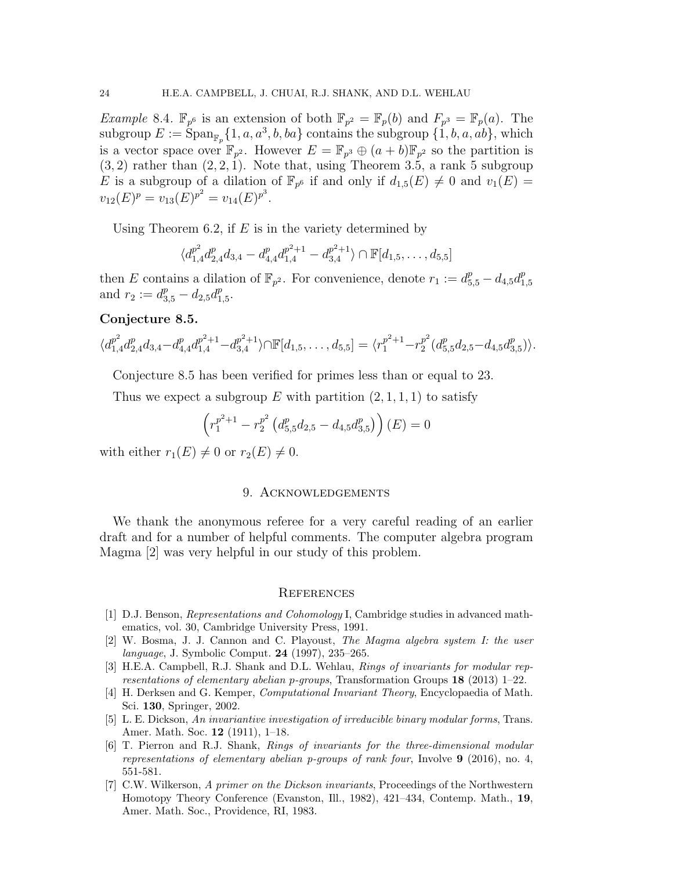*Example* 8.4.  $\mathbb{F}_{p^6}$  is an extension of both  $\mathbb{F}_{p^2} = \mathbb{F}_p(b)$  and  $F_{p^3} = \mathbb{F}_p(a)$ . The subgroup  $E := \text{Span}_{\mathbb{F}_p}\{1, a, a^3, b, ba\}$  contains the subgroup  $\{1, b, a, ab\}$ , which is a vector space over  $\mathbb{F}_{p^2}$ . However  $E = \mathbb{F}_{p^3} \oplus (a+b)\mathbb{F}_{p^2}$  so the partition is  $(3, 2)$  rather than  $(2, 2, 1)$ . Note that, using Theorem 3.5, a rank 5 subgroup E is a subgroup of a dilation of  $\mathbb{F}_{p^6}$  if and only if  $d_{1,5}(E) \neq 0$  and  $v_1(E) =$  $v_{12}(E)^p = v_{13}(E)^{p^2} = v_{14}(E)^{p^3}.$ 

Using Theorem 6.2, if  $E$  is in the variety determined by

$$
\langle d_{1,4}^{p^2} d_{2,4}^p d_{3,4} - d_{4,4}^p d_{1,4}^{p^2+1} - d_{3,4}^{p^2+1} \rangle \cap \mathbb{F}[d_{1,5},\ldots,d_{5,5}]
$$

then E contains a dilation of  $\mathbb{F}_{p^2}$ . For convenience, denote  $r_1 := d_{5,5}^p - d_{4,5}d_1^p$ 1,5 and  $r_2 := d_{3,5}^p - d_{2,5}d_1^p$  $_{1,5}^{p}.$ 

#### Conjecture 8.5.

$$
\langle d_{1,4}^{p^2} d_{2,4}^p d_{3,4} - d_{4,4}^p d_{1,4}^{p^2+1} - d_{3,4}^{p^2+1} \rangle \cap \mathbb{F}[d_{1,5},\ldots,d_{5,5}] = \langle r_1^{p^2+1} - r_2^{p^2} (d_{5,5}^p d_{2,5} - d_{4,5} d_{3,5}^p) \rangle.
$$

Conjecture 8.5 has been verified for primes less than or equal to 23.

Thus we expect a subgroup E with partition  $(2, 1, 1, 1)$  to satisfy

$$
\left(r_1^{p^2+1} - r_2^{p^2} \left(d_{5,5}^p d_{2,5} - d_{4,5} d_{3,5}^p\right)\right)(E) = 0
$$

with either  $r_1(E) \neq 0$  or  $r_2(E) \neq 0$ .

#### 9. Acknowledgements

We thank the anonymous referee for a very careful reading of an earlier draft and for a number of helpful comments. The computer algebra program Magma [2] was very helpful in our study of this problem.

#### **REFERENCES**

- [1] D.J. Benson, *Representations and Cohomology* I, Cambridge studies in advanced mathematics, vol. 30, Cambridge University Press, 1991.
- [2] W. Bosma, J. J. Cannon and C. Playoust, *The Magma algebra system I: the user language*, J. Symbolic Comput. 24 (1997), 235–265.
- [3] H.E.A. Campbell, R.J. Shank and D.L. Wehlau, *Rings of invariants for modular representations of elementary abelian* p*-groups*, Transformation Groups 18 (2013) 1–22.
- [4] H. Derksen and G. Kemper, *Computational Invariant Theory*, Encyclopaedia of Math. Sci. 130, Springer, 2002.
- [5] L. E. Dickson, *An invariantive investigation of irreducible binary modular forms*, Trans. Amer. Math. Soc. 12 (1911), 1–18.
- [6] T. Pierron and R.J. Shank, *Rings of invariants for the three-dimensional modular representations of elementary abelian p-groups of rank four*, Involve 9 (2016), no. 4, 551-581.
- [7] C.W. Wilkerson, *A primer on the Dickson invariants*, Proceedings of the Northwestern Homotopy Theory Conference (Evanston, Ill., 1982), 421–434, Contemp. Math., 19, Amer. Math. Soc., Providence, RI, 1983.